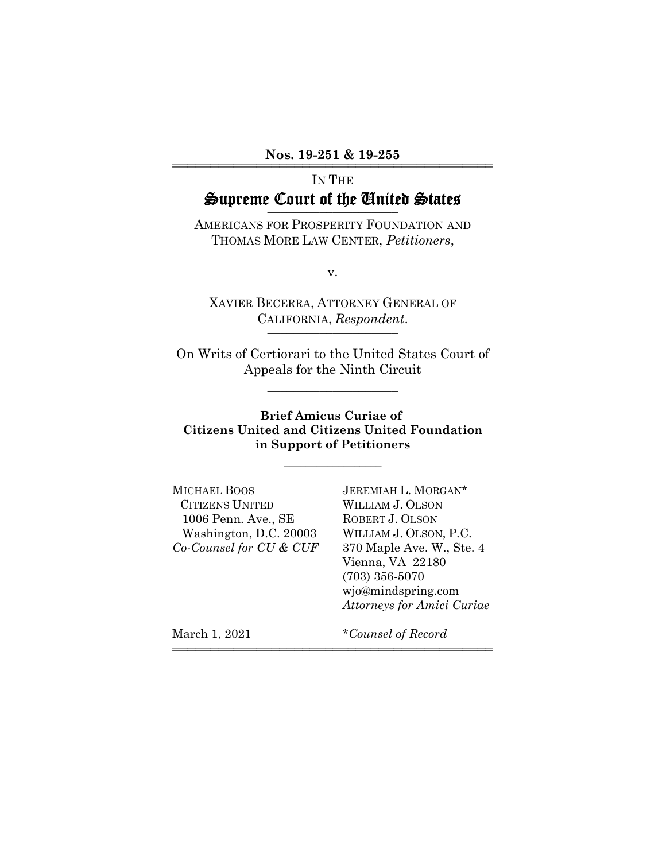Nos. 19-251 & 19-255

# IN THE Supreme Court of the United States

AMERICANS FOR PROSPERITY FOUNDATION AND THOMAS MORE LAW CENTER, *Petitioners*,

v.

XAVIER BECERRA, ATTORNEY GENERAL OF CALIFORNIA, *Respondent*.

On Writs of Certiorari to the United States Court of Appeals for the Ninth Circuit

\_\_\_\_\_\_\_\_\_\_\_\_\_\_\_\_\_\_\_\_

#### **Brief Amicus Curiae of Citizens United and Citizens United Foundation in Support of Petitioners**

 $\overline{\phantom{a}}$  , where  $\overline{\phantom{a}}$ 

444444444444444444444444444444444444444444

MICHAEL BOOS JEREMIAH L. MORGAN\* CITIZENS UNITED WILLIAM J. OLSON 1006 Penn. Ave., SE ROBERT J. OLSON Washington, D.C. 20003 WILLIAM J. OLSON, P.C. *Co-Counsel for CU & CUF* 370 Maple Ave. W., Ste. 4

Vienna, VA 22180 (703) 356-5070 wjo@mindspring.com *Attorneys for Amici Curiae*

March 1, 2021 **\****Counsel of Record*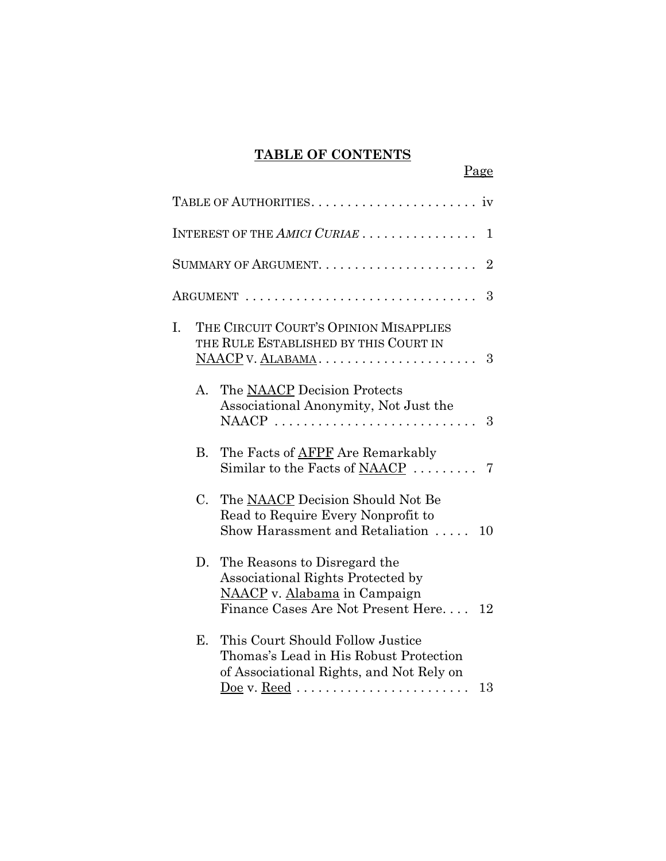# **TABLE OF CONTENTS**

Page

|    |             | INTEREST OF THE AMICI CURIAE<br>1                                                                                                                                                              |
|----|-------------|------------------------------------------------------------------------------------------------------------------------------------------------------------------------------------------------|
|    |             | $\overline{2}$                                                                                                                                                                                 |
|    |             | 3<br>$\operatorname{ARGUMENT}$                                                                                                                                                                 |
| I. |             | THE CIRCUIT COURT'S OPINION MISAPPLIES<br>THE RULE ESTABLISHED BY THIS COURT IN<br>- 3                                                                                                         |
|    | А.          | The NAACP Decision Protects<br>Associational Anonymity, Not Just the<br>NAACP<br>3                                                                                                             |
|    | B.          | The Facts of AFPF Are Remarkably<br>Similar to the Facts of NAACP<br>7                                                                                                                         |
|    | $C_{\cdot}$ | The NAACP Decision Should Not Be<br>Read to Require Every Nonprofit to<br>Show Harassment and Retaliation<br>10                                                                                |
|    | D.          | The Reasons to Disregard the<br>Associational Rights Protected by<br>NAACP v. Alabama in Campaign<br>Finance Cases Are Not Present Here<br>12                                                  |
|    | Е.          | This Court Should Follow Justice<br>Thomas's Lead in His Robust Protection<br>of Associational Rights, and Not Rely on<br>Doe v. Reed $\ldots \ldots \ldots \ldots \ldots \ldots \ldots$<br>13 |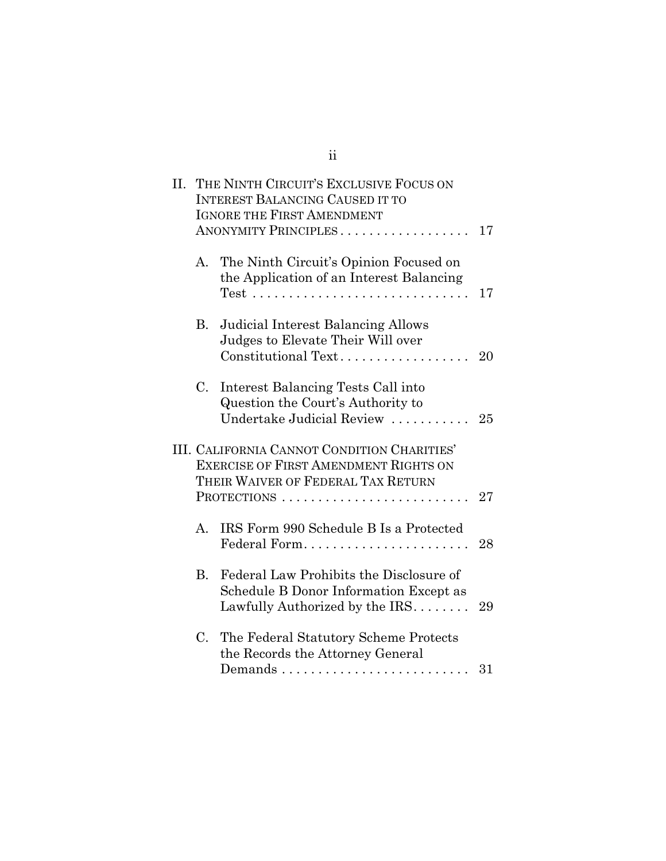| II. |           | THE NINTH CIRCUIT'S EXCLUSIVE FOCUS ON<br><b>INTEREST BALANCING CAUSED IT TO</b><br><b>IGNORE THE FIRST AMENDMENT</b><br>ANONYMITY PRINCIPLES                  | 17 |
|-----|-----------|----------------------------------------------------------------------------------------------------------------------------------------------------------------|----|
|     | A.        | The Ninth Circuit's Opinion Focused on<br>the Application of an Interest Balancing<br>$Test \dots \dots \dots \dots \dots \dots \dots \dots \dots \dots \dots$ | 17 |
|     | <b>B.</b> | <b>Judicial Interest Balancing Allows</b><br>Judges to Elevate Their Will over<br>Constitutional Text                                                          | 20 |
|     | C.        | Interest Balancing Tests Call into<br>Question the Court's Authority to<br>Undertake Judicial Review                                                           | 25 |
|     |           | III. CALIFORNIA CANNOT CONDITION CHARITIES'<br><b>EXERCISE OF FIRST AMENDMENT RIGHTS ON</b><br>THEIR WAIVER OF FEDERAL TAX RETURN<br>PROTECTIONS               | 27 |
|     | A.        | IRS Form 990 Schedule B Is a Protected<br>Federal Form                                                                                                         | 28 |
|     | B.        | Federal Law Prohibits the Disclosure of<br>Schedule B Donor Information Except as<br>Lawfully Authorized by the $IRS$                                          | 29 |
|     | C.        | The Federal Statutory Scheme Protects<br>the Records the Attorney General                                                                                      | 31 |

ii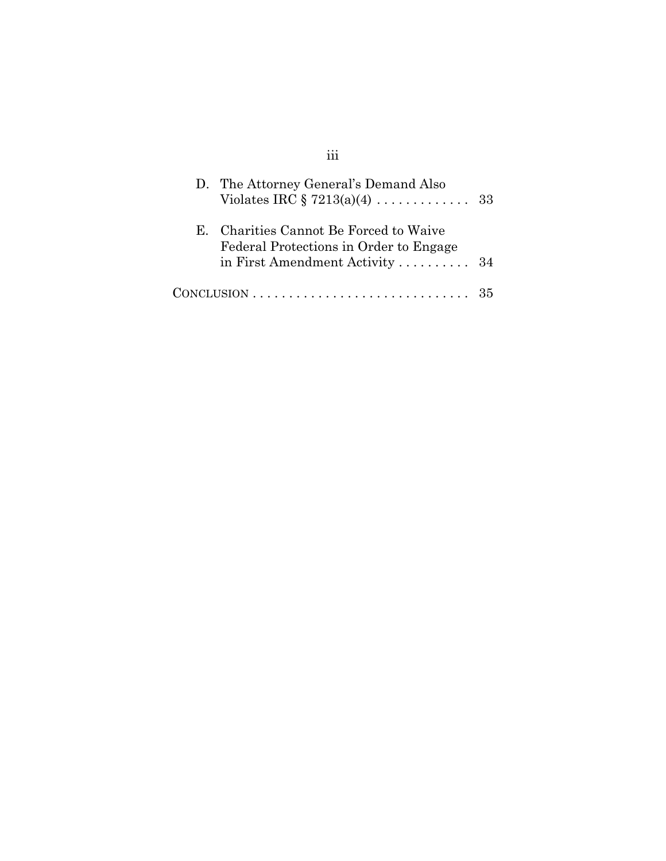| D. The Attorney General's Demand Also                                                                                                     |    |
|-------------------------------------------------------------------------------------------------------------------------------------------|----|
| E. Charities Cannot Be Forced to Waive<br>Federal Protections in Order to Engage<br>in First Amendment Activity $\ldots \ldots \ldots$ 34 |    |
| $CONCLUSION \ldots \ldots \ldots \ldots \ldots \ldots \ldots \ldots \ldots$                                                               | 35 |

iii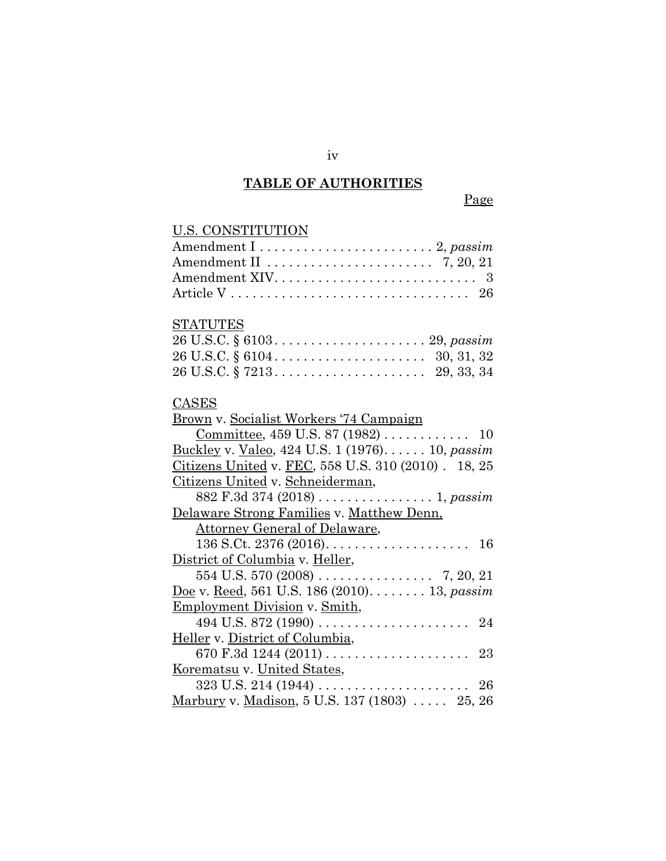#### **TABLE OF AUTHORITIES**

#### Page

# U.S. CONSTITUTION Amendment I . . . . . . . . . . . . . . . . . . . . . . . . 2, *passim* Amendment II . . . . . . . . . . . . . . . . . . . . . . . 7, 20, 21 Amendment XIV. . . . . . . . . . . . . . . . . . . . . . . . . . . . 3 Article V . . . . . . . . . . . . . . . . . . . . . . . . . . . . . . . . . 26 STATUTES 26 U.S.C. § 6103 . . . . . . . . . . . . . . . . . . . . . 29, *passim* 26 U.S.C. § 6104 . . . . . . . . . . . . . . . . . . . . . 30, 31, 32 26 U.S.C. § 7213 . . . . . . . . . . . . . . . . . . . . . 29, 33, 34 CASES Brown v. Socialist Workers '74 Campaign Committee, 459 U.S. 87 (1982) . . . . . . . . . . . . 10 Buckley v. Valeo, 424 U.S. 1 (1976). . . . . . 10, *passim* Citizens United v. FEC, 558 U.S. 310 (2010) . 18, 25 Citizens United v. Schneiderman, 882 F.3d 374 (2018) . . . . . . . . . . . . . . . . 1, *passim* Delaware Strong Families v. Matthew Denn, Attorney General of Delaware, 136 S.Ct. 2376 (2016). . . . . . . . . . . . . . . . . . . . 16 District of Columbia v. Heller, 554 U.S. 570 (2008) . . . . . . . . . . . . . . . . 7, 20, 21 Doe v. Reed, 561 U.S. 186 (2010). . . . . . . . 13, *passim* Employment Division v. Smith, 494 U.S. 872 (1990) . . . . . . . . . . . . . . . . . . . . . 24 Heller v. District of Columbia, 670 F.3d 1244 (2011) . . . . . . . . . . . . . . . . . . . . 23 Korematsu v. United States, 323 U.S. 214 (1944) . . . . . . . . . . . . . . . . . . . . . 26 Marbury v. Madison, 5 U.S. 137 (1803) ..... 25, 26

iv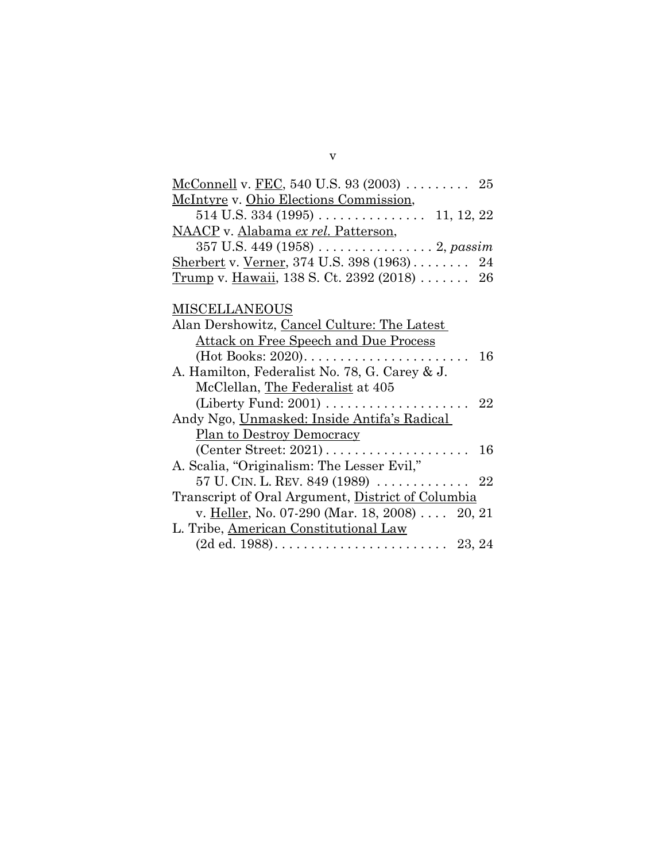| <u>McConnell</u> v. <u>FEC</u> , 540 U.S. 93 (2003) 25         |  |  |  |  |
|----------------------------------------------------------------|--|--|--|--|
| McIntyre v. Ohio Elections Commission,                         |  |  |  |  |
|                                                                |  |  |  |  |
| NAACP v. Alabama ex rel. Patterson,                            |  |  |  |  |
| 357 U.S. 449 (1958) $\dots \dots \dots \dots \dots 2$ , passim |  |  |  |  |
| Sherbert v. Verner, 374 U.S. 398 (1963) 24                     |  |  |  |  |
| <u>Trump</u> v. <u>Hawaii</u> , 138 S. Ct. 2392 (2018) 26      |  |  |  |  |
|                                                                |  |  |  |  |
| <b>MISCELLANEOUS</b>                                           |  |  |  |  |
| Alan Dershowitz, Cancel Culture: The Latest                    |  |  |  |  |
| <u>Attack on Free Speech and Due Process</u>                   |  |  |  |  |
| $(Hot \, Books: 2020).$<br>16                                  |  |  |  |  |
| A. Hamilton, Federalist No. 78, G. Carey & J.                  |  |  |  |  |
| McClellan, The Federalist at 405                               |  |  |  |  |
| 22                                                             |  |  |  |  |
| Andy Ngo, Unmasked: Inside Antifa's Radical                    |  |  |  |  |
| <b>Plan to Destroy Democracy</b>                               |  |  |  |  |
| $(C$ enter Street: 2021)<br>16                                 |  |  |  |  |
| A. Scalia, "Originalism: The Lesser Evil,"                     |  |  |  |  |
| 57 U. CIN. L. REV. 849 (1989)  22                              |  |  |  |  |
| Transcript of Oral Argument, District of Columbia              |  |  |  |  |
| v. Heller, No. 07-290 (Mar. 18, 2008) 20, 21                   |  |  |  |  |
| L. Tribe, American Constitutional Law                          |  |  |  |  |
|                                                                |  |  |  |  |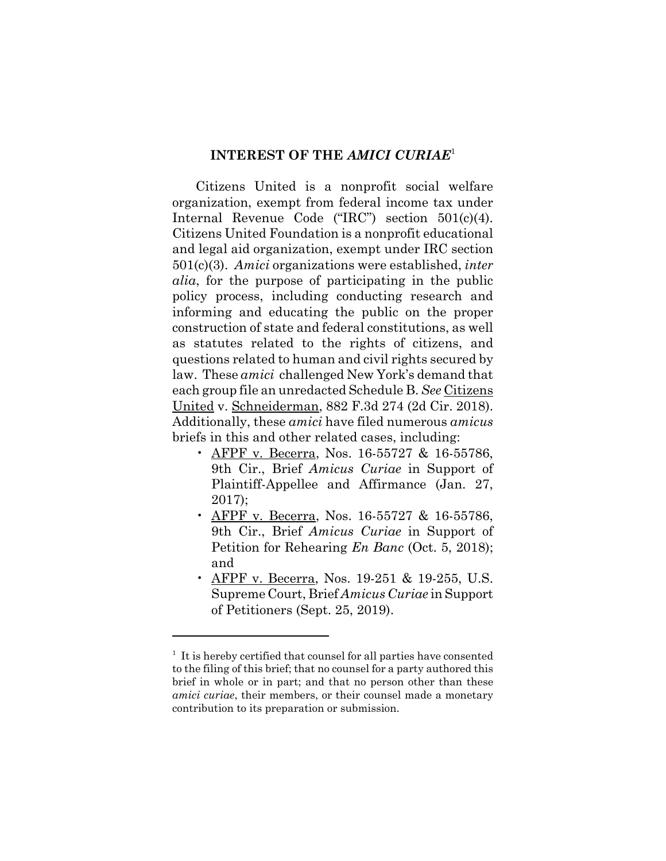#### **INTEREST OF THE** *AMICI CURIAE*<sup>1</sup>

Citizens United is a nonprofit social welfare organization, exempt from federal income tax under Internal Revenue Code ("IRC") section 501(c)(4). Citizens United Foundation is a nonprofit educational and legal aid organization, exempt under IRC section 501(c)(3). *Amici* organizations were established, *inter alia*, for the purpose of participating in the public policy process, including conducting research and informing and educating the public on the proper construction of state and federal constitutions, as well as statutes related to the rights of citizens, and questions related to human and civil rights secured by law. These *amici* challenged New York's demand that each group file an unredacted Schedule B. *See* Citizens United v. Schneiderman, 882 F.3d 274 (2d Cir. 2018). Additionally, these *amici* have filed numerous *amicus* briefs in this and other related cases, including:

- AFPF v. Becerra, Nos. 16-55727 & 16-55786, 9th Cir., Brief *Amicus Curiae* in Support of Plaintiff-Appellee and Affirmance (Jan. 27, 2017);
- AFPF v. Becerra, Nos. 16-55727 & 16-55786, 9th Cir., Brief *Amicus Curiae* in Support of Petition for Rehearing *En Banc* (Oct. 5, 2018); and
- AFPF v. Becerra, Nos. 19-251 & 19-255, U.S. Supreme Court, Brief *Amicus Curiae* in Support of Petitioners (Sept. 25, 2019).

<sup>&</sup>lt;sup>1</sup> It is hereby certified that counsel for all parties have consented to the filing of this brief; that no counsel for a party authored this brief in whole or in part; and that no person other than these *amici curiae*, their members, or their counsel made a monetary contribution to its preparation or submission.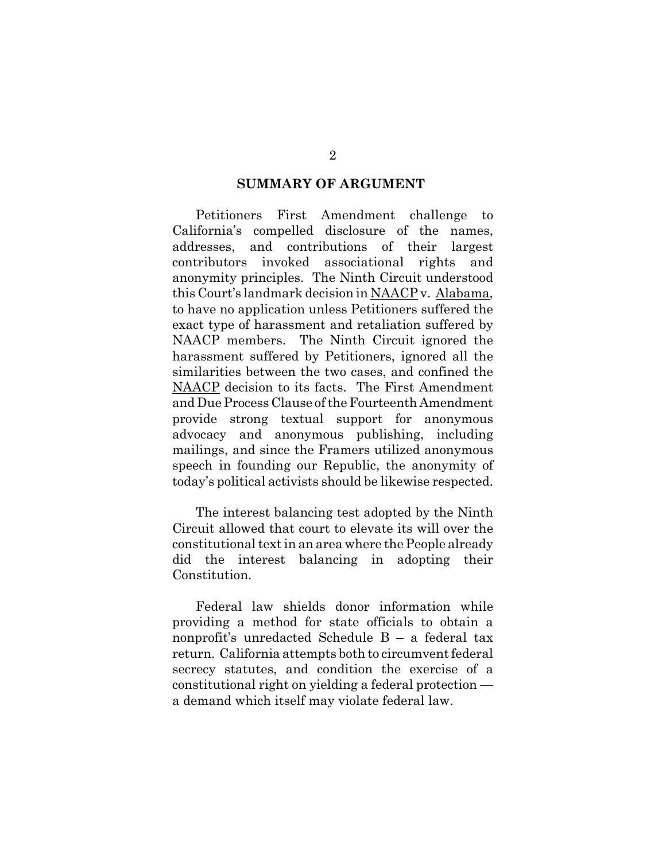#### **SUMMARY OF ARGUMENT**

Petitioners First Amendment challenge to California's compelled disclosure of the names, addresses, and contributions of their largest contributors invoked associational rights and anonymity principles. The Ninth Circuit understood this Court's landmark decision in NAACP v. Alabama, to have no application unless Petitioners suffered the exact type of harassment and retaliation suffered by NAACP members. The Ninth Circuit ignored the harassment suffered by Petitioners, ignored all the similarities between the two cases, and confined the NAACP decision to its facts. The First Amendment and Due Process Clause of the Fourteenth Amendment provide strong textual support for anonymous advocacy and anonymous publishing, including mailings, and since the Framers utilized anonymous speech in founding our Republic, the anonymity of today's political activists should be likewise respected.

The interest balancing test adopted by the Ninth Circuit allowed that court to elevate its will over the constitutional text in an area where the People already did the interest balancing in adopting their Constitution.

Federal law shields donor information while providing a method for state officials to obtain a nonprofit's unredacted Schedule B – a federal tax return. California attempts both to circumvent federal secrecy statutes, and condition the exercise of a constitutional right on yielding a federal protection a demand which itself may violate federal law.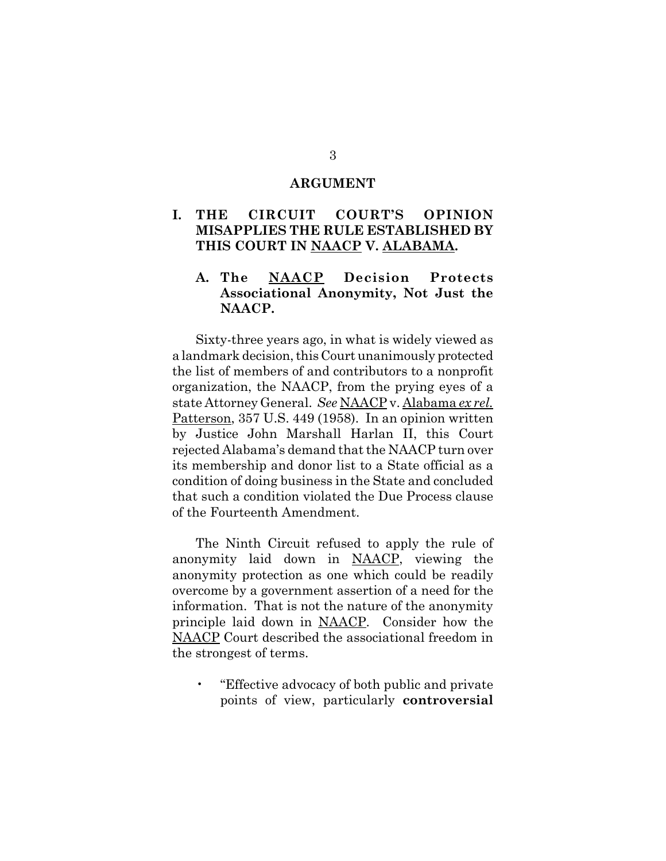#### **ARGUMENT**

### **I. THE CIRCUIT COURT'S OPINION MISAPPLIES THE RULE ESTABLISHED BY THIS COURT IN NAACP V. ALABAMA.**

### **A. The NAACP Decision Protects Associational Anonymity, Not Just the NAACP.**

Sixty-three years ago, in what is widely viewed as a landmark decision, this Court unanimously protected the list of members of and contributors to a nonprofit organization, the NAACP, from the prying eyes of a state Attorney General. *See* NAACP v. Alabama *ex rel.* Patterson, 357 U.S. 449 (1958). In an opinion written by Justice John Marshall Harlan II, this Court rejected Alabama's demand that the NAACP turn over its membership and donor list to a State official as a condition of doing business in the State and concluded that such a condition violated the Due Process clause of the Fourteenth Amendment.

The Ninth Circuit refused to apply the rule of anonymity laid down in NAACP, viewing the anonymity protection as one which could be readily overcome by a government assertion of a need for the information. That is not the nature of the anonymity principle laid down in NAACP. Consider how the NAACP Court described the associational freedom in the strongest of terms.

• "Effective advocacy of both public and private points of view, particularly **controversial**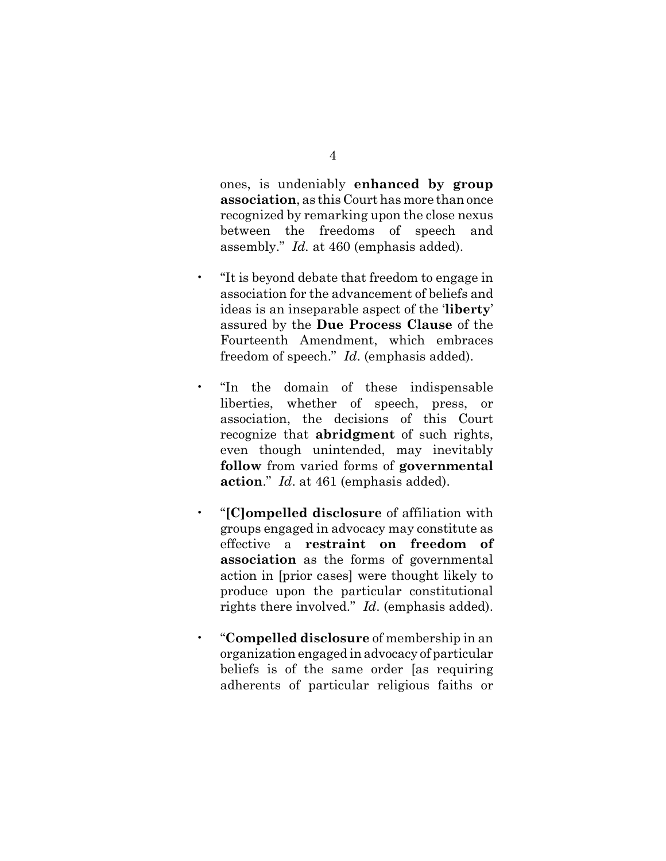ones, is undeniably **enhanced by group association**, as this Court has more than once recognized by remarking upon the close nexus between the freedoms of speech and assembly." *Id.* at 460 (emphasis added).

- "It is beyond debate that freedom to engage in association for the advancement of beliefs and ideas is an inseparable aspect of the '**liberty**' assured by the **Due Process Clause** of the Fourteenth Amendment, which embraces freedom of speech." *Id*. (emphasis added).
- "In the domain of these indispensable liberties, whether of speech, press, or association, the decisions of this Court recognize that **abridgment** of such rights, even though unintended, may inevitably **follow** from varied forms of **governmental action**." *Id*. at 461 (emphasis added).
- "**[C]ompelled disclosure** of affiliation with groups engaged in advocacy may constitute as effective a **restraint on freedom of association** as the forms of governmental action in [prior cases] were thought likely to produce upon the particular constitutional rights there involved." *Id*. (emphasis added).
- "**Compelled disclosure** of membership in an organization engaged in advocacy of particular beliefs is of the same order [as requiring adherents of particular religious faiths or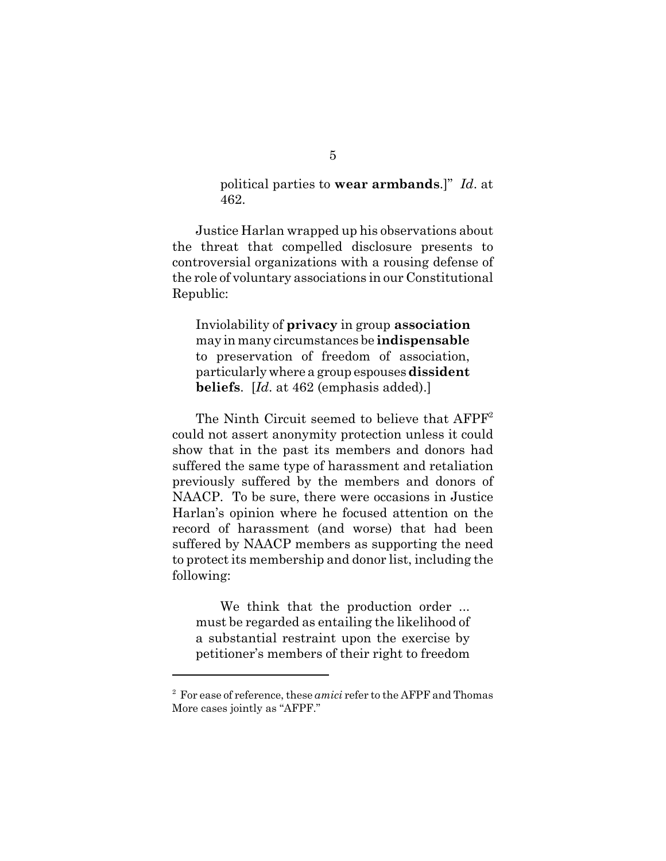political parties to **wear armbands**.]" *Id*. at 462.

Justice Harlan wrapped up his observations about the threat that compelled disclosure presents to controversial organizations with a rousing defense of the role of voluntary associations in our Constitutional Republic:

 Inviolability of **privacy** in group **association** may in many circumstances be **indispensable** to preservation of freedom of association, particularly where a group espouses **dissident beliefs**. [*Id*. at 462 (emphasis added).]

The Ninth Circuit seemed to believe that  $A F P F^2$ could not assert anonymity protection unless it could show that in the past its members and donors had suffered the same type of harassment and retaliation previously suffered by the members and donors of NAACP. To be sure, there were occasions in Justice Harlan's opinion where he focused attention on the record of harassment (and worse) that had been suffered by NAACP members as supporting the need to protect its membership and donor list, including the following:

We think that the production order ... must be regarded as entailing the likelihood of a substantial restraint upon the exercise by petitioner's members of their right to freedom

<sup>2</sup> For ease of reference, these *amici* refer to the AFPF and Thomas More cases jointly as "AFPF."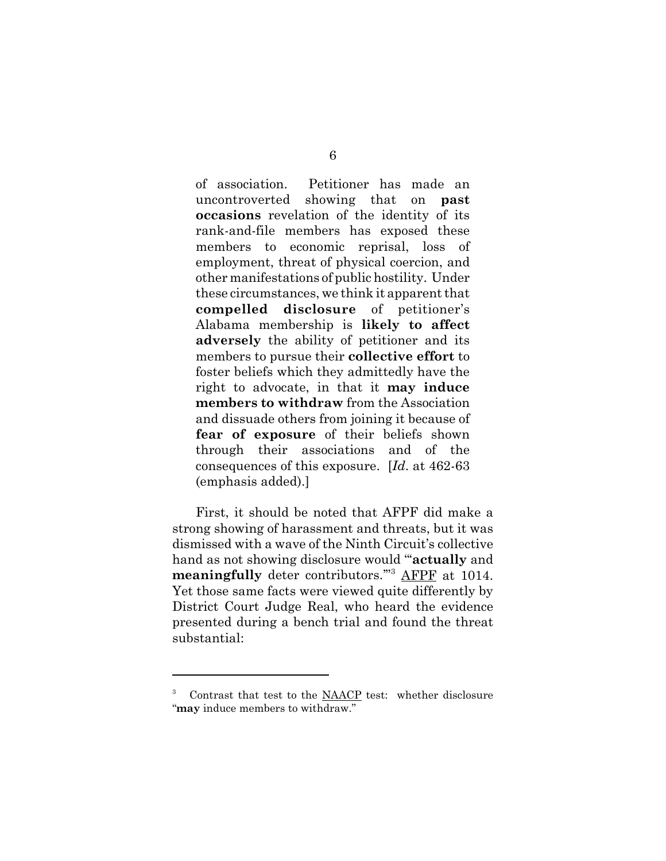of association. Petitioner has made an uncontroverted showing that on **past occasions** revelation of the identity of its rank-and-file members has exposed these members to economic reprisal, loss of employment, threat of physical coercion, and other manifestations of public hostility. Under these circumstances, we think it apparent that **compelled disclosure** of petitioner's Alabama membership is **likely to affect adversely** the ability of petitioner and its members to pursue their **collective effort** to foster beliefs which they admittedly have the right to advocate, in that it **may induce members to withdraw** from the Association and dissuade others from joining it because of **fear of exposure** of their beliefs shown through their associations and of the consequences of this exposure. [*Id*. at 462-63 (emphasis added).]

First, it should be noted that AFPF did make a strong showing of harassment and threats, but it was dismissed with a wave of the Ninth Circuit's collective hand as not showing disclosure would "'**actually** and **meaningfully** deter contributors.'"<sup>3</sup> AFPF at 1014. Yet those same facts were viewed quite differently by District Court Judge Real, who heard the evidence presented during a bench trial and found the threat substantial:

<sup>3</sup> Contrast that test to the NAACP test: whether disclosure "**may** induce members to withdraw."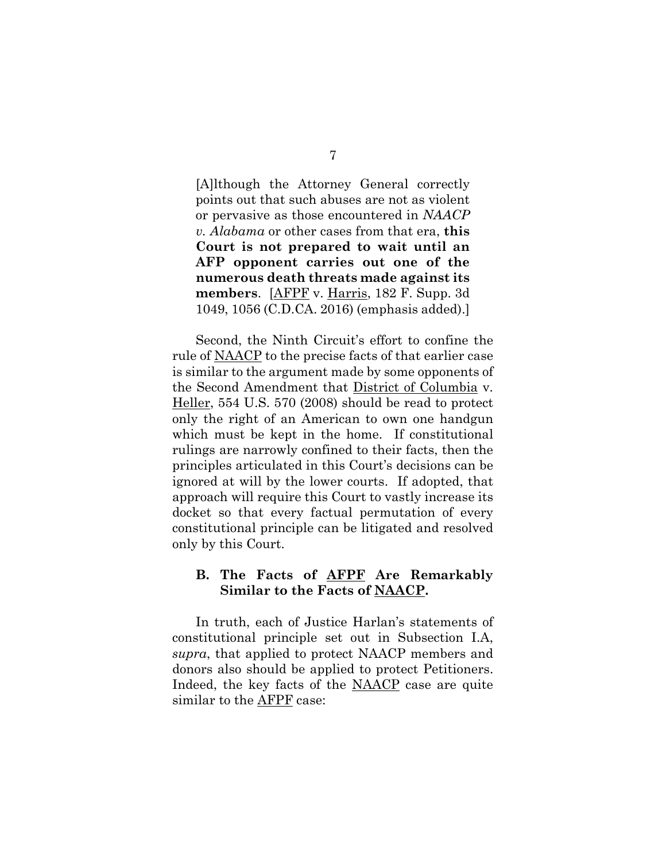[A]lthough the Attorney General correctly points out that such abuses are not as violent or pervasive as those encountered in *NAACP v. Alabama* or other cases from that era, **this Court is not prepared to wait until an AFP opponent carries out one of the numerous death threats made against its members**. [AFPF v. Harris, 182 F. Supp. 3d 1049, 1056 (C.D.CA. 2016) (emphasis added).]

Second, the Ninth Circuit's effort to confine the rule of NAACP to the precise facts of that earlier case is similar to the argument made by some opponents of the Second Amendment that District of Columbia v. Heller, 554 U.S. 570 (2008) should be read to protect only the right of an American to own one handgun which must be kept in the home. If constitutional rulings are narrowly confined to their facts, then the principles articulated in this Court's decisions can be ignored at will by the lower courts. If adopted, that approach will require this Court to vastly increase its docket so that every factual permutation of every constitutional principle can be litigated and resolved only by this Court.

### **B. The Facts of AFPF Are Remarkably Similar to the Facts of NAACP.**

In truth, each of Justice Harlan's statements of constitutional principle set out in Subsection I.A, *supra*, that applied to protect NAACP members and donors also should be applied to protect Petitioners. Indeed, the key facts of the NAACP case are quite similar to the AFPF case: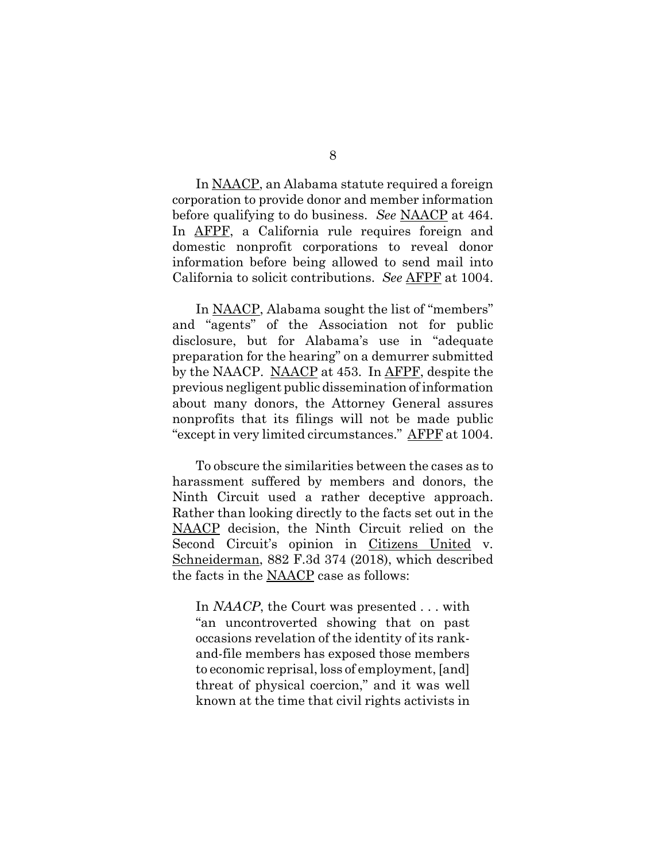In NAACP, an Alabama statute required a foreign corporation to provide donor and member information before qualifying to do business. *See* NAACP at 464. In AFPF, a California rule requires foreign and domestic nonprofit corporations to reveal donor information before being allowed to send mail into California to solicit contributions. *See* AFPF at 1004.

In NAACP, Alabama sought the list of "members" and "agents" of the Association not for public disclosure, but for Alabama's use in "adequate preparation for the hearing" on a demurrer submitted by the NAACP. NAACP at 453. In AFPF, despite the previous negligent public dissemination of information about many donors, the Attorney General assures nonprofits that its filings will not be made public "except in very limited circumstances." AFPF at 1004.

To obscure the similarities between the cases as to harassment suffered by members and donors, the Ninth Circuit used a rather deceptive approach. Rather than looking directly to the facts set out in the NAACP decision, the Ninth Circuit relied on the Second Circuit's opinion in Citizens United v. Schneiderman, 882 F.3d 374 (2018), which described the facts in the NAACP case as follows:

In *NAACP*, the Court was presented . . . with "an uncontroverted showing that on past occasions revelation of the identity of its rankand-file members has exposed those members to economic reprisal, loss of employment, [and] threat of physical coercion," and it was well known at the time that civil rights activists in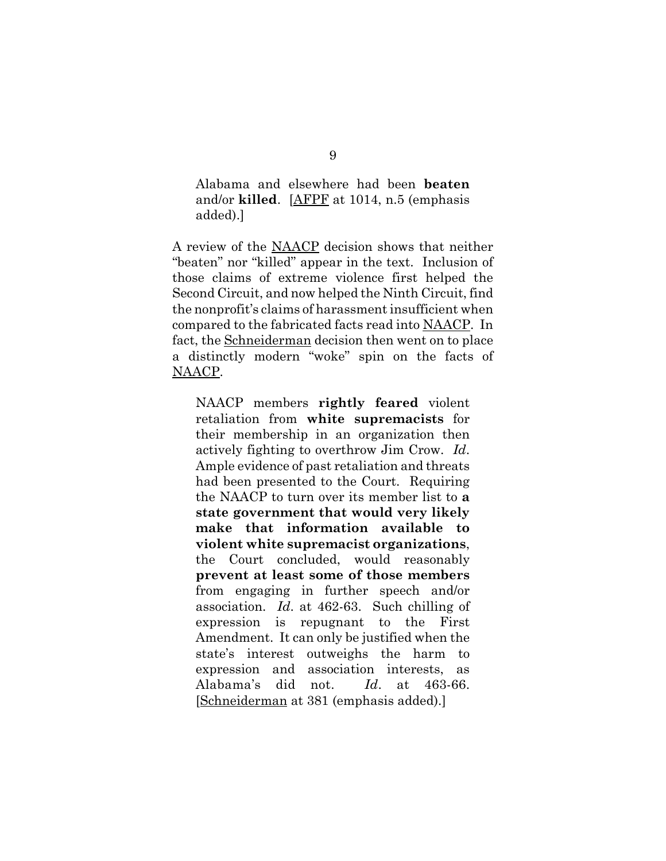Alabama and elsewhere had been **beaten** and/or **killed**. [AFPF at 1014, n.5 (emphasis added).]

A review of the NAACP decision shows that neither "beaten" nor "killed" appear in the text. Inclusion of those claims of extreme violence first helped the Second Circuit, and now helped the Ninth Circuit, find the nonprofit's claims of harassment insufficient when compared to the fabricated facts read into NAACP. In fact, the Schneiderman decision then went on to place a distinctly modern "woke" spin on the facts of NAACP.

NAACP members **rightly feared** violent retaliation from **white supremacists** for their membership in an organization then actively fighting to overthrow Jim Crow. *Id*. Ample evidence of past retaliation and threats had been presented to the Court. Requiring the NAACP to turn over its member list to **a state government that would very likely make that information available to violent white supremacist organizations**, the Court concluded, would reasonably **prevent at least some of those members** from engaging in further speech and/or association. *Id*. at 462-63. Such chilling of expression is repugnant to the First Amendment. It can only be justified when the state's interest outweighs the harm to expression and association interests, as Alabama's did not. *Id*. at 463-66. [Schneiderman at 381 (emphasis added).]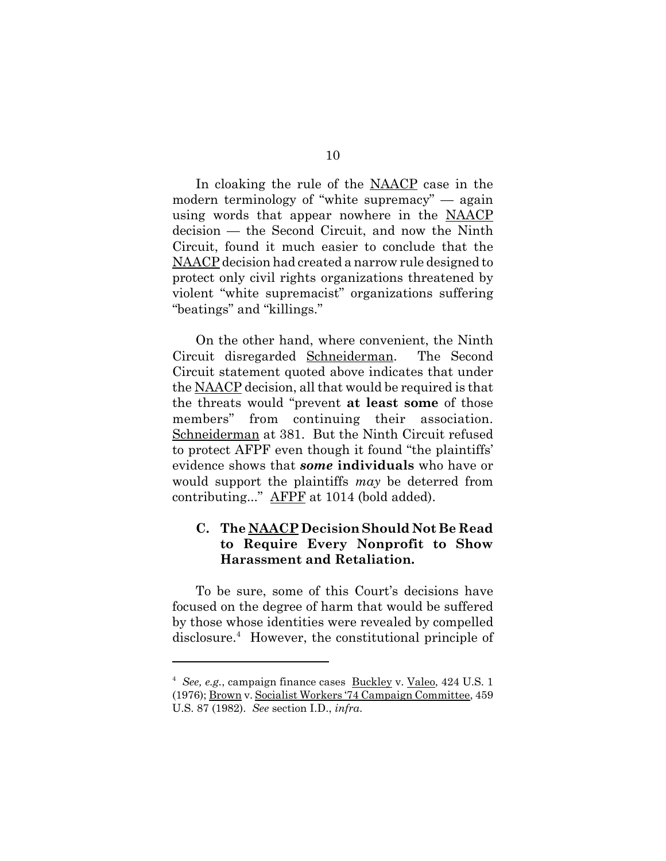In cloaking the rule of the NAACP case in the modern terminology of "white supremacy" — again using words that appear nowhere in the NAACP decision — the Second Circuit, and now the Ninth Circuit, found it much easier to conclude that the NAACP decision had created a narrow rule designed to protect only civil rights organizations threatened by violent "white supremacist" organizations suffering "beatings" and "killings."

On the other hand, where convenient, the Ninth Circuit disregarded Schneiderman. The Second Circuit statement quoted above indicates that under the NAACP decision, all that would be required is that the threats would "prevent **at least some** of those members" from continuing their association. Schneiderman at 381. But the Ninth Circuit refused to protect AFPF even though it found "the plaintiffs' evidence shows that *some* **individuals** who have or would support the plaintiffs *may* be deterred from contributing..." AFPF at 1014 (bold added).

# **C. The NAACP Decision Should Not Be Read to Require Every Nonprofit to Show Harassment and Retaliation.**

To be sure, some of this Court's decisions have focused on the degree of harm that would be suffered by those whose identities were revealed by compelled disclosure.<sup>4</sup> However, the constitutional principle of

<sup>4</sup> *See, e.g.*, campaign finance cases Buckley v. Valeo, 424 U.S. 1 (1976); Brown v. Socialist Workers '74 Campaign Committee, 459 U.S. 87 (1982). *See* section I.D., *infra*.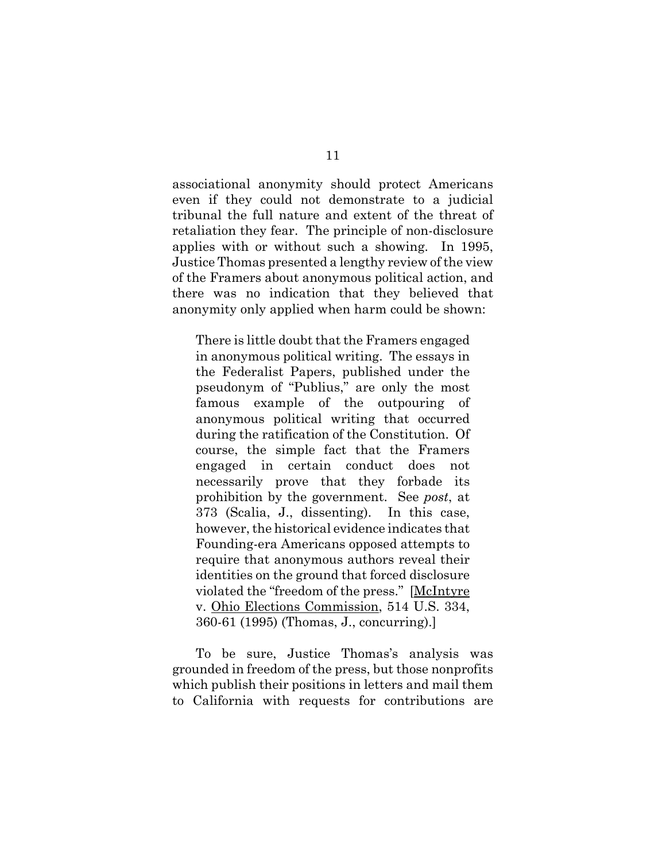associational anonymity should protect Americans even if they could not demonstrate to a judicial tribunal the full nature and extent of the threat of retaliation they fear. The principle of non-disclosure applies with or without such a showing. In 1995, Justice Thomas presented a lengthy review of the view of the Framers about anonymous political action, and there was no indication that they believed that anonymity only applied when harm could be shown:

There is little doubt that the Framers engaged in anonymous political writing. The essays in the Federalist Papers, published under the pseudonym of "Publius," are only the most famous example of the outpouring of anonymous political writing that occurred during the ratification of the Constitution. Of course, the simple fact that the Framers engaged in certain conduct does not necessarily prove that they forbade its prohibition by the government. See *post*, at 373 (Scalia, J., dissenting). In this case, however, the historical evidence indicates that Founding-era Americans opposed attempts to require that anonymous authors reveal their identities on the ground that forced disclosure violated the "freedom of the press." [McIntyre v. Ohio Elections Commission, 514 U.S. 334, 360-61 (1995) (Thomas, J., concurring).]

To be sure, Justice Thomas's analysis was grounded in freedom of the press, but those nonprofits which publish their positions in letters and mail them to California with requests for contributions are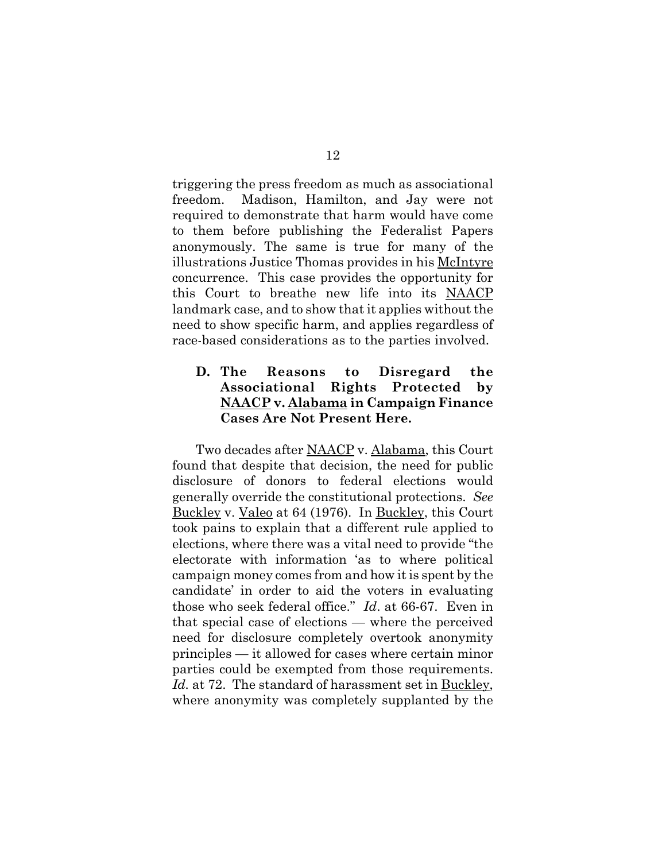triggering the press freedom as much as associational freedom. Madison, Hamilton, and Jay were not required to demonstrate that harm would have come to them before publishing the Federalist Papers anonymously. The same is true for many of the illustrations Justice Thomas provides in his McIntyre concurrence. This case provides the opportunity for this Court to breathe new life into its NAACP landmark case, and to show that it applies without the need to show specific harm, and applies regardless of race-based considerations as to the parties involved.

# **D. The Reasons to Disregard the Associational Rights Protected by NAACP v. Alabama in Campaign Finance Cases Are Not Present Here.**

Two decades after NAACP v. Alabama, this Court found that despite that decision, the need for public disclosure of donors to federal elections would generally override the constitutional protections. *See* Buckley v. Valeo at 64 (1976). In Buckley, this Court took pains to explain that a different rule applied to elections, where there was a vital need to provide "the electorate with information 'as to where political campaign money comes from and how it is spent by the candidate' in order to aid the voters in evaluating those who seek federal office." *Id*. at 66-67. Even in that special case of elections — where the perceived need for disclosure completely overtook anonymity principles — it allowed for cases where certain minor parties could be exempted from those requirements. Id. at 72. The standard of harassment set in Buckley, where anonymity was completely supplanted by the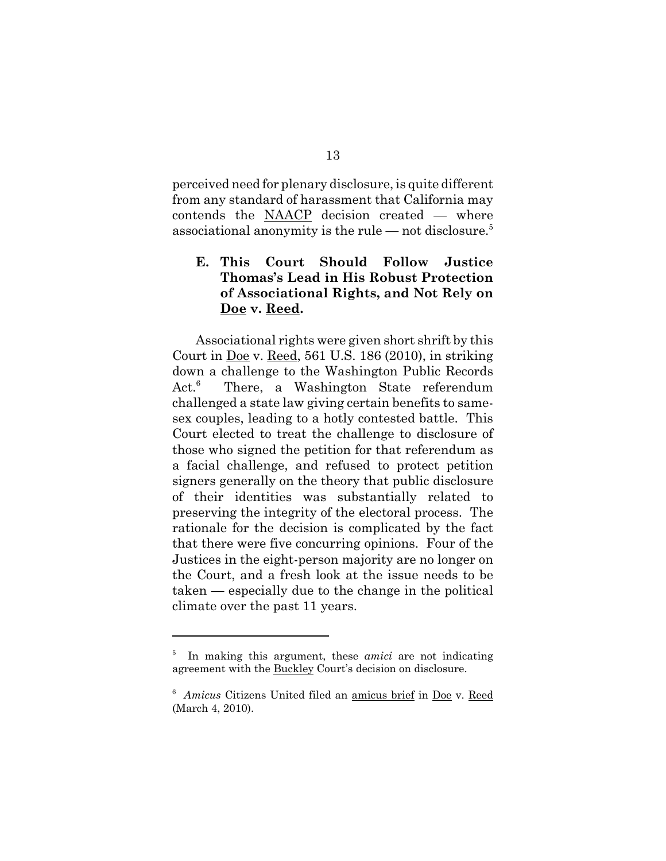perceived need for plenary disclosure, is quite different from any standard of harassment that California may contends the NAACP decision created — where associational anonymity is the rule — not disclosure.<sup>5</sup>

# **E. This Court Should Follow Justice Thomas's Lead in His Robust Protection of Associational Rights, and Not Rely on Doe v. Reed.**

Associational rights were given short shrift by this Court in  $\underline{Doe}$  v. Reed, 561 U.S. 186 (2010), in striking down a challenge to the Washington Public Records  $Act.^6$  There, a Washington State referendum challenged a state law giving certain benefits to samesex couples, leading to a hotly contested battle. This Court elected to treat the challenge to disclosure of those who signed the petition for that referendum as a facial challenge, and refused to protect petition signers generally on the theory that public disclosure of their identities was substantially related to preserving the integrity of the electoral process. The rationale for the decision is complicated by the fact that there were five concurring opinions. Four of the Justices in the eight-person majority are no longer on the Court, and a fresh look at the issue needs to be taken — especially due to the change in the political climate over the past 11 years.

<sup>5</sup> In making this argument, these *amici* are not indicating agreement with the Buckley Court's decision on disclosure.

<sup>6</sup> *Amicus* Citizens United filed an amicus brief in Doe v. Reed (March 4, 2010).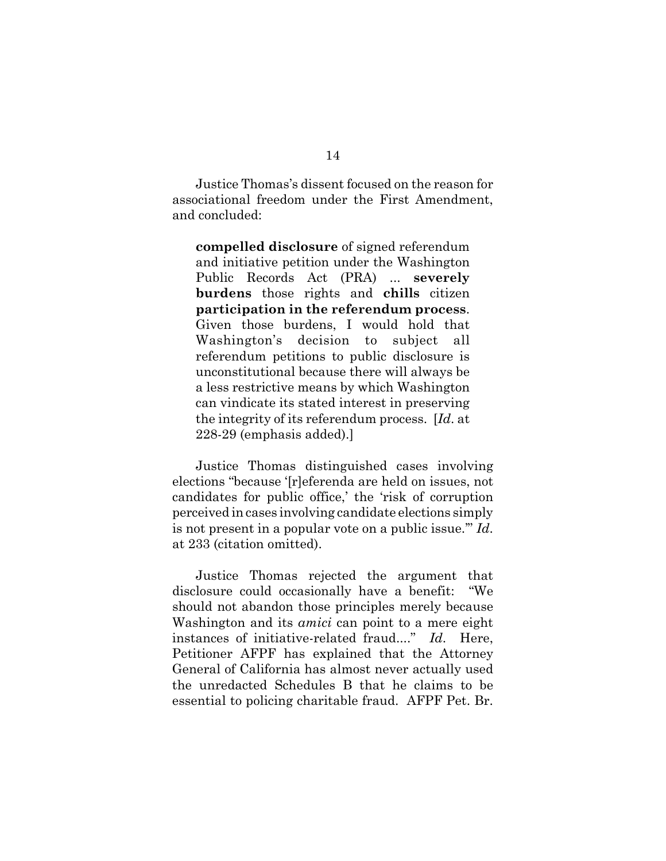Justice Thomas's dissent focused on the reason for associational freedom under the First Amendment, and concluded:

**compelled disclosure** of signed referendum and initiative petition under the Washington Public Records Act (PRA) ... **severely burdens** those rights and **chills** citizen **participation in the referendum process**. Given those burdens, I would hold that Washington's decision to subject all referendum petitions to public disclosure is unconstitutional because there will always be a less restrictive means by which Washington can vindicate its stated interest in preserving the integrity of its referendum process. [*Id*. at 228-29 (emphasis added).]

Justice Thomas distinguished cases involving elections "because '[r]eferenda are held on issues, not candidates for public office,' the 'risk of corruption perceived in cases involving candidate elections simply is not present in a popular vote on a public issue.'" *Id*. at 233 (citation omitted).

Justice Thomas rejected the argument that disclosure could occasionally have a benefit: "We should not abandon those principles merely because Washington and its *amici* can point to a mere eight instances of initiative-related fraud...." *Id*. Here, Petitioner AFPF has explained that the Attorney General of California has almost never actually used the unredacted Schedules B that he claims to be essential to policing charitable fraud. AFPF Pet. Br.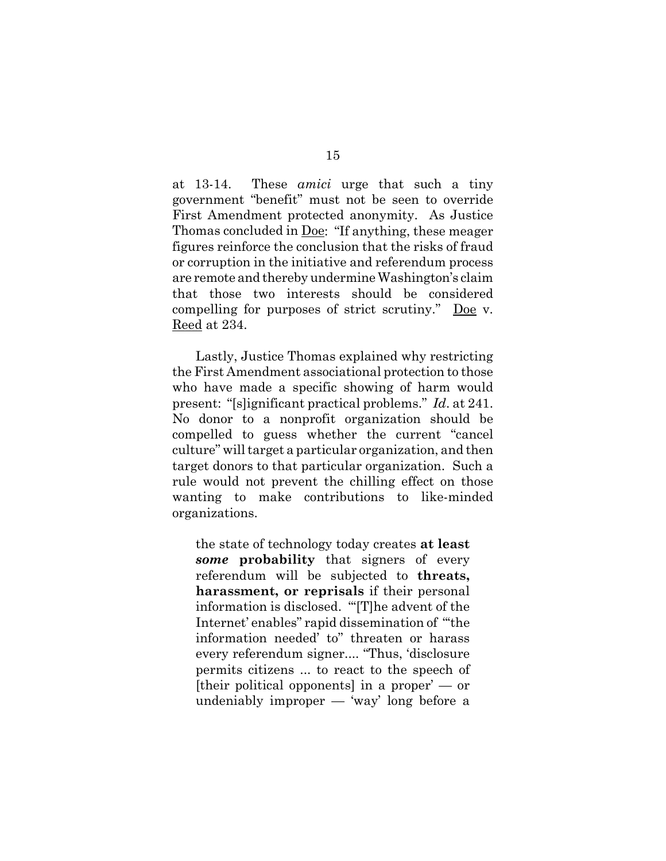at 13-14. These *amici* urge that such a tiny government "benefit" must not be seen to override First Amendment protected anonymity. As Justice Thomas concluded in Doe: "If anything, these meager figures reinforce the conclusion that the risks of fraud or corruption in the initiative and referendum process are remote and thereby undermine Washington's claim that those two interests should be considered compelling for purposes of strict scrutiny." Doe v. Reed at 234.

Lastly, Justice Thomas explained why restricting the First Amendment associational protection to those who have made a specific showing of harm would present: "[s]ignificant practical problems." *Id*. at 241. No donor to a nonprofit organization should be compelled to guess whether the current "cancel culture" will target a particular organization, and then target donors to that particular organization. Such a rule would not prevent the chilling effect on those wanting to make contributions to like-minded organizations.

the state of technology today creates **at least** *some* **probability** that signers of every referendum will be subjected to **threats, harassment, or reprisals** if their personal information is disclosed. "'[T]he advent of the Internet' enables" rapid dissemination of "'the information needed' to" threaten or harass every referendum signer.... "Thus, 'disclosure permits citizens ... to react to the speech of [their political opponents] in a proper' — or undeniably improper — 'way' long before a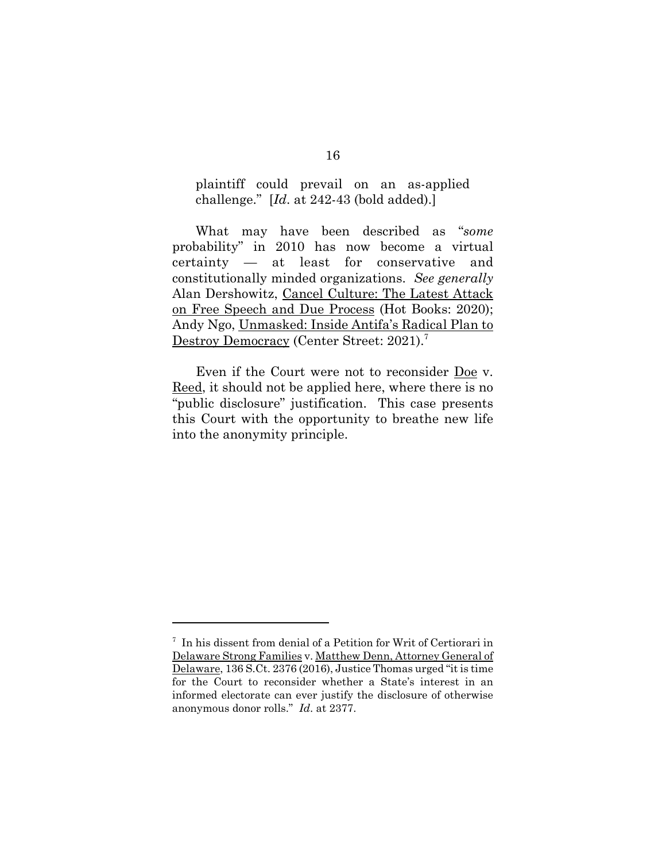plaintiff could prevail on an as-applied challenge." [*Id*. at 242-43 (bold added).]

What may have been described as "*some* probability" in 2010 has now become a virtual certainty — at least for conservative and constitutionally minded organizations. *See generally* Alan Dershowitz, Cancel Culture: The Latest Attack on Free Speech and Due Process (Hot Books: 2020); Andy Ngo, Unmasked: Inside Antifa's Radical Plan to Destroy Democracy (Center Street: 2021).<sup>7</sup>

Even if the Court were not to reconsider Doe v. Reed, it should not be applied here, where there is no "public disclosure" justification. This case presents this Court with the opportunity to breathe new life into the anonymity principle.

<sup>7</sup> In his dissent from denial of a Petition for Writ of Certiorari in Delaware Strong Families v. Matthew Denn, Attorney General of Delaware, 136 S.Ct. 2376 (2016), Justice Thomas urged "it is time for the Court to reconsider whether a State's interest in an informed electorate can ever justify the disclosure of otherwise anonymous donor rolls." *Id*. at 2377.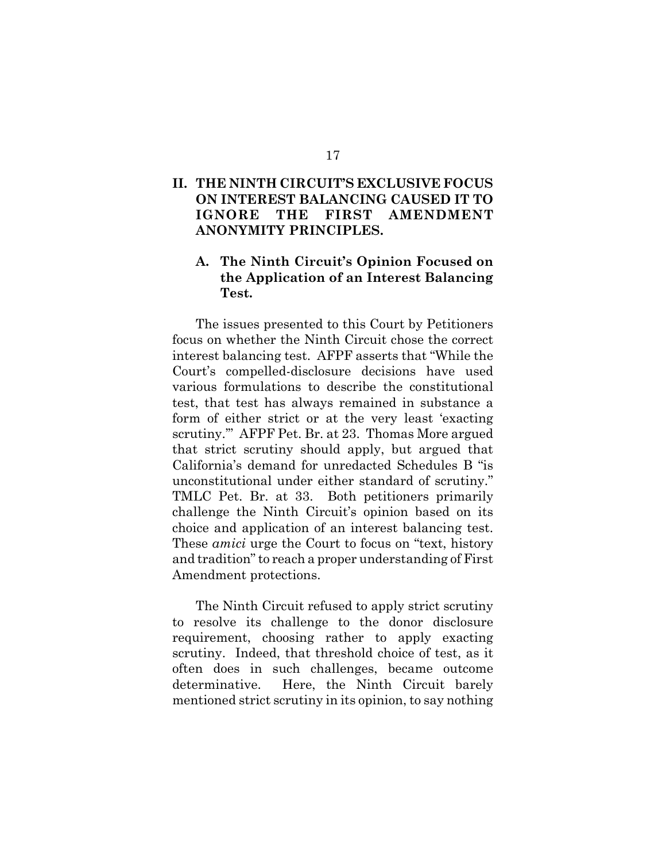## **II. THE NINTH CIRCUIT'S EXCLUSIVE FOCUS ON INTEREST BALANCING CAUSED IT TO IGNORE THE FIRST AMENDMENT ANONYMITY PRINCIPLES.**

## **A. The Ninth Circuit's Opinion Focused on the Application of an Interest Balancing Test.**

The issues presented to this Court by Petitioners focus on whether the Ninth Circuit chose the correct interest balancing test. AFPF asserts that "While the Court's compelled-disclosure decisions have used various formulations to describe the constitutional test, that test has always remained in substance a form of either strict or at the very least 'exacting scrutiny.'" AFPF Pet. Br. at 23. Thomas More argued that strict scrutiny should apply, but argued that California's demand for unredacted Schedules B "is unconstitutional under either standard of scrutiny." TMLC Pet. Br. at 33. Both petitioners primarily challenge the Ninth Circuit's opinion based on its choice and application of an interest balancing test. These *amici* urge the Court to focus on "text, history and tradition" to reach a proper understanding of First Amendment protections.

The Ninth Circuit refused to apply strict scrutiny to resolve its challenge to the donor disclosure requirement, choosing rather to apply exacting scrutiny. Indeed, that threshold choice of test, as it often does in such challenges, became outcome determinative. Here, the Ninth Circuit barely mentioned strict scrutiny in its opinion, to say nothing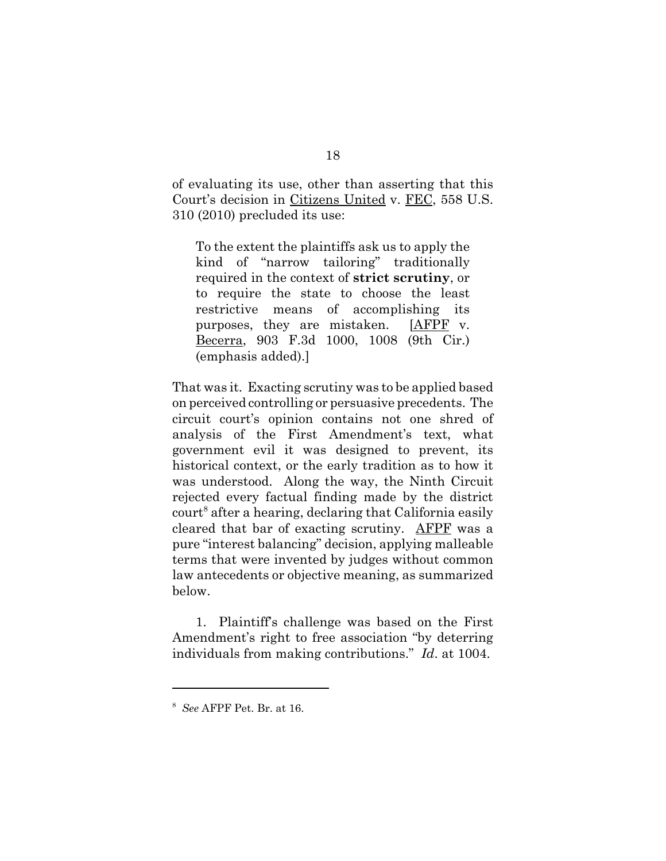of evaluating its use, other than asserting that this Court's decision in Citizens United v. FEC, 558 U.S. 310 (2010) precluded its use:

To the extent the plaintiffs ask us to apply the kind of "narrow tailoring" traditionally required in the context of **strict scrutiny**, or to require the state to choose the least restrictive means of accomplishing its purposes, they are mistaken. [AFPF v. Becerra, 903 F.3d 1000, 1008 (9th Cir.) (emphasis added).]

That was it. Exacting scrutiny was to be applied based on perceived controlling or persuasive precedents. The circuit court's opinion contains not one shred of analysis of the First Amendment's text, what government evil it was designed to prevent, its historical context, or the early tradition as to how it was understood. Along the way, the Ninth Circuit rejected every factual finding made by the district court<sup>8</sup> after a hearing, declaring that California easily cleared that bar of exacting scrutiny. AFPF was a pure "interest balancing" decision, applying malleable terms that were invented by judges without common law antecedents or objective meaning, as summarized below.

1. Plaintiff's challenge was based on the First Amendment's right to free association "by deterring individuals from making contributions." *Id*. at 1004.

<sup>8</sup> *See* AFPF Pet. Br. at 16.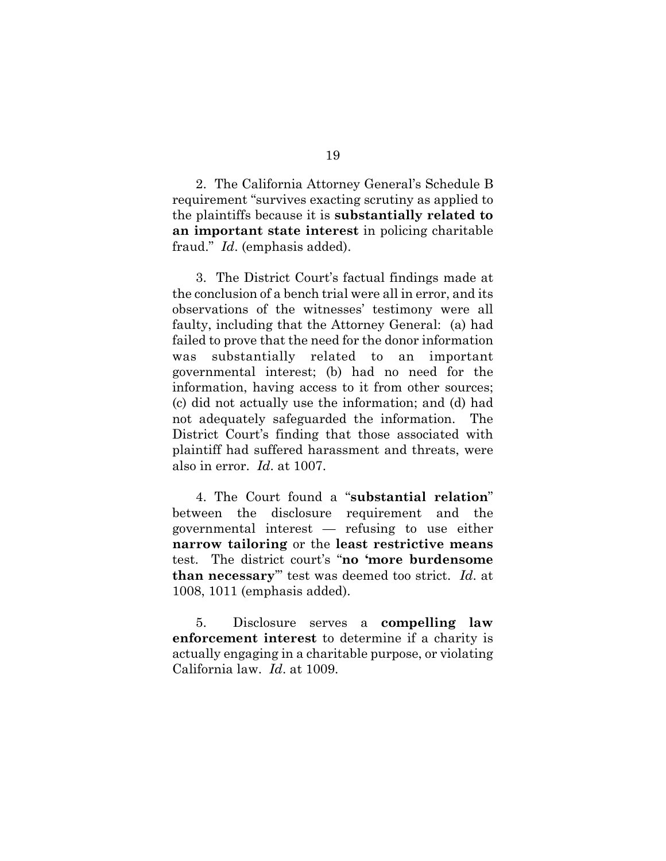2. The California Attorney General's Schedule B requirement "survives exacting scrutiny as applied to the plaintiffs because it is **substantially related to an important state interest** in policing charitable fraud." *Id*. (emphasis added).

3. The District Court's factual findings made at the conclusion of a bench trial were all in error, and its observations of the witnesses' testimony were all faulty, including that the Attorney General: (a) had failed to prove that the need for the donor information was substantially related to an important governmental interest; (b) had no need for the information, having access to it from other sources; (c) did not actually use the information; and (d) had not adequately safeguarded the information. The District Court's finding that those associated with plaintiff had suffered harassment and threats, were also in error. *Id*. at 1007.

4. The Court found a "**substantial relation**" between the disclosure requirement and the governmental interest — refusing to use either **narrow tailoring** or the **least restrictive means** test. The district court's "**no 'more burdensome than necessary**'" test was deemed too strict. *Id*. at 1008, 1011 (emphasis added).

5. Disclosure serves a **compelling law enforcement interest** to determine if a charity is actually engaging in a charitable purpose, or violating California law. *Id*. at 1009.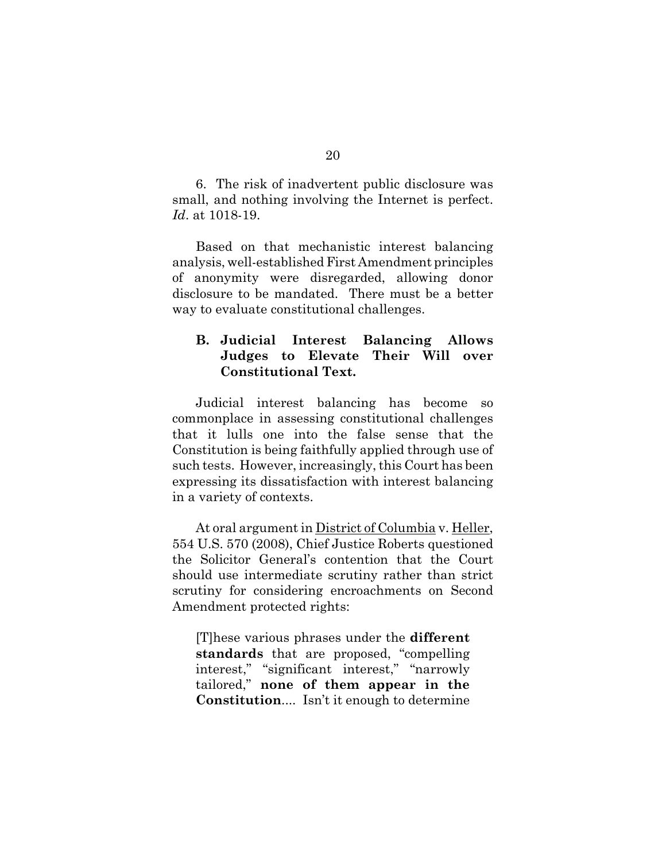6. The risk of inadvertent public disclosure was small, and nothing involving the Internet is perfect. *Id*. at 1018-19.

Based on that mechanistic interest balancing analysis, well-established First Amendment principles of anonymity were disregarded, allowing donor disclosure to be mandated. There must be a better way to evaluate constitutional challenges.

## **B. Judicial Interest Balancing Allows Judges to Elevate Their Will over Constitutional Text.**

Judicial interest balancing has become so commonplace in assessing constitutional challenges that it lulls one into the false sense that the Constitution is being faithfully applied through use of such tests. However, increasingly, this Court has been expressing its dissatisfaction with interest balancing in a variety of contexts.

At oral argument in District of Columbia v. Heller, 554 U.S. 570 (2008), Chief Justice Roberts questioned the Solicitor General's contention that the Court should use intermediate scrutiny rather than strict scrutiny for considering encroachments on Second Amendment protected rights:

[T]hese various phrases under the **different standards** that are proposed, "compelling interest," "significant interest," "narrowly tailored," **none of them appear in the Constitution**.... Isn't it enough to determine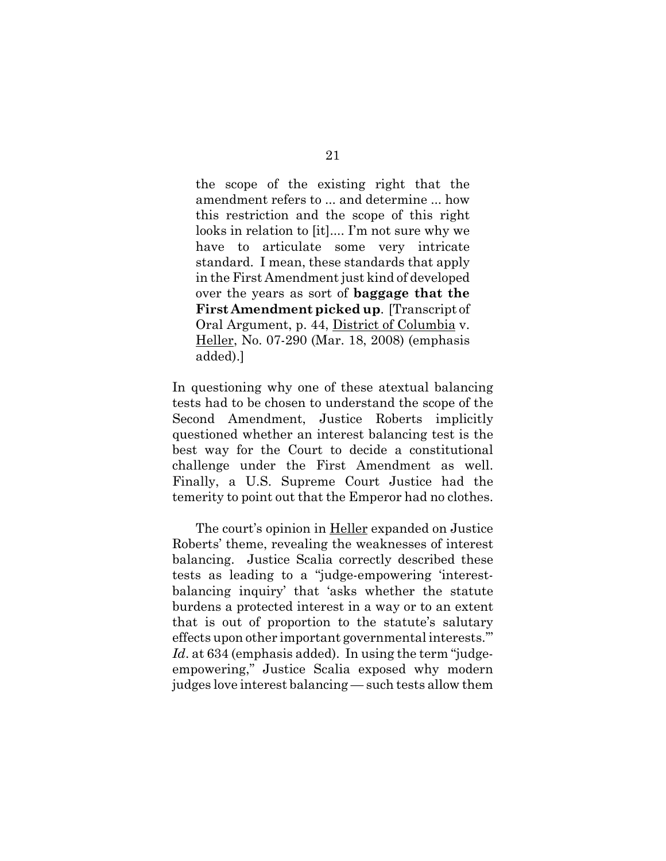the scope of the existing right that the amendment refers to ... and determine ... how this restriction and the scope of this right looks in relation to [it].... I'm not sure why we have to articulate some very intricate standard. I mean, these standards that apply in the First Amendment just kind of developed over the years as sort of **baggage that the First Amendment picked up**. [Transcript of Oral Argument, p. 44, District of Columbia v. Heller, No. 07-290 (Mar. 18, 2008) (emphasis added).]

In questioning why one of these atextual balancing tests had to be chosen to understand the scope of the Second Amendment, Justice Roberts implicitly questioned whether an interest balancing test is the best way for the Court to decide a constitutional challenge under the First Amendment as well. Finally, a U.S. Supreme Court Justice had the temerity to point out that the Emperor had no clothes.

The court's opinion in Heller expanded on Justice Roberts' theme, revealing the weaknesses of interest balancing. Justice Scalia correctly described these tests as leading to a "judge-empowering 'interestbalancing inquiry' that 'asks whether the statute burdens a protected interest in a way or to an extent that is out of proportion to the statute's salutary effects upon other important governmental interests.'" *Id*. at 634 (emphasis added). In using the term "judgeempowering," Justice Scalia exposed why modern judges love interest balancing — such tests allow them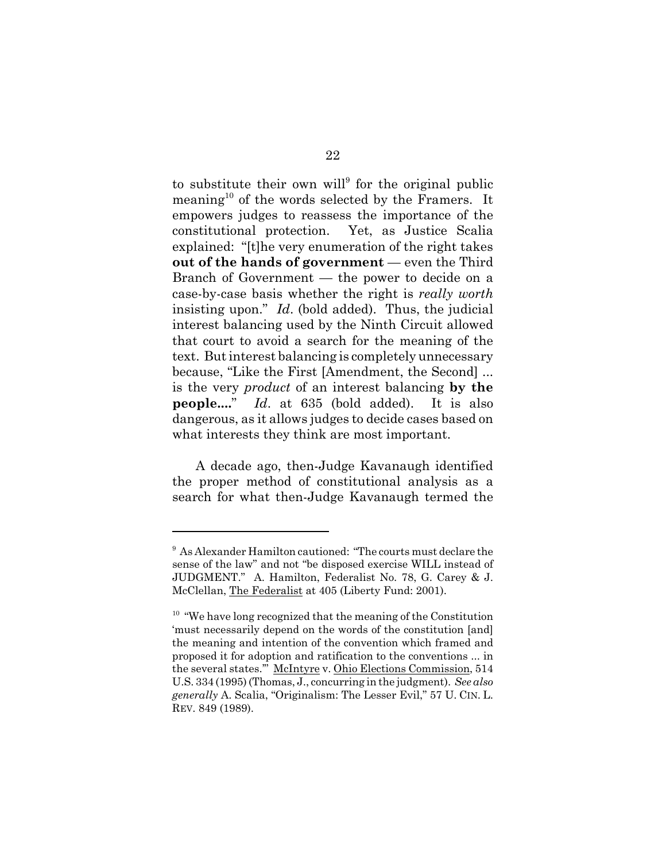to substitute their own will<sup>9</sup> for the original public meaning<sup>10</sup> of the words selected by the Framers. It empowers judges to reassess the importance of the constitutional protection. Yet, as Justice Scalia explained: "[t]he very enumeration of the right takes **out of the hands of government** — even the Third Branch of Government — the power to decide on a case-by-case basis whether the right is *really worth* insisting upon." *Id*. (bold added). Thus, the judicial interest balancing used by the Ninth Circuit allowed that court to avoid a search for the meaning of the text. But interest balancing is completely unnecessary because, "Like the First [Amendment, the Second] ... is the very *product* of an interest balancing **by the people....**" *Id*. at 635 (bold added). It is also dangerous, as it allows judges to decide cases based on what interests they think are most important.

A decade ago, then-Judge Kavanaugh identified the proper method of constitutional analysis as a search for what then-Judge Kavanaugh termed the

<sup>&</sup>lt;sup>9</sup> As Alexander Hamilton cautioned: "The courts must declare the sense of the law" and not "be disposed exercise WILL instead of JUDGMENT." A. Hamilton, Federalist No. 78, G. Carey & J. McClellan, The Federalist at 405 (Liberty Fund: 2001).

<sup>&</sup>lt;sup>10</sup> "We have long recognized that the meaning of the Constitution 'must necessarily depend on the words of the constitution [and] the meaning and intention of the convention which framed and proposed it for adoption and ratification to the conventions ... in the several states."" McIntyre v. Ohio Elections Commission, 514 U.S. 334 (1995) (Thomas, J., concurring in the judgment). *See also generally* A. Scalia, "Originalism: The Lesser Evil," 57 U. CIN. L. REV. 849 (1989).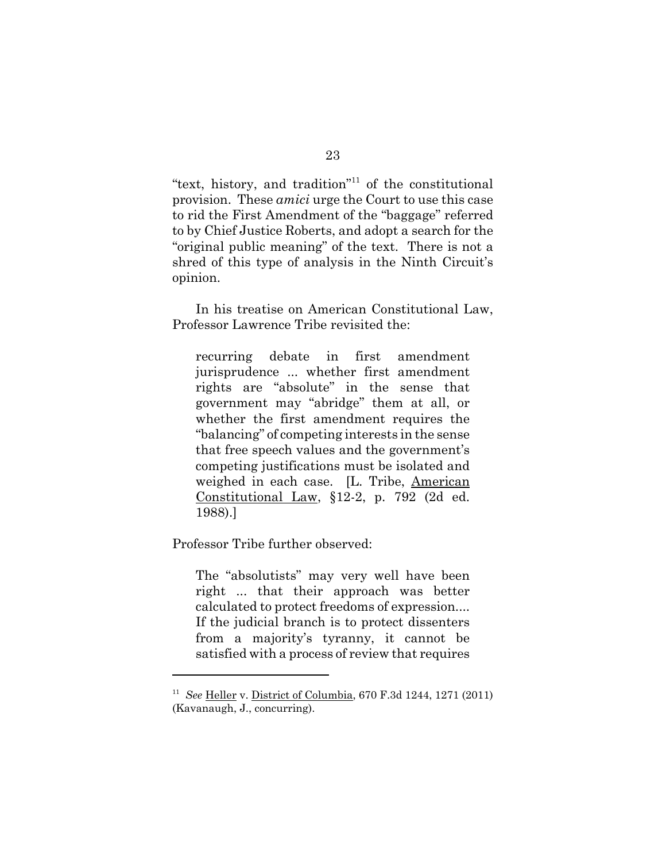"text, history, and tradition"11 of the constitutional provision. These *amici* urge the Court to use this case to rid the First Amendment of the "baggage" referred to by Chief Justice Roberts, and adopt a search for the "original public meaning" of the text. There is not a shred of this type of analysis in the Ninth Circuit's opinion.

In his treatise on American Constitutional Law, Professor Lawrence Tribe revisited the:

recurring debate in first amendment jurisprudence ... whether first amendment rights are "absolute" in the sense that government may "abridge" them at all, or whether the first amendment requires the "balancing" of competing interests in the sense that free speech values and the government's competing justifications must be isolated and weighed in each case. [L. Tribe, American Constitutional Law, §12-2, p. 792 (2d ed. 1988).]

Professor Tribe further observed:

The "absolutists" may very well have been right ... that their approach was better calculated to protect freedoms of expression.... If the judicial branch is to protect dissenters from a majority's tyranny, it cannot be satisfied with a process of review that requires

<sup>11</sup> *See* Heller v. District of Columbia, 670 F.3d 1244, 1271 (2011) (Kavanaugh, J., concurring).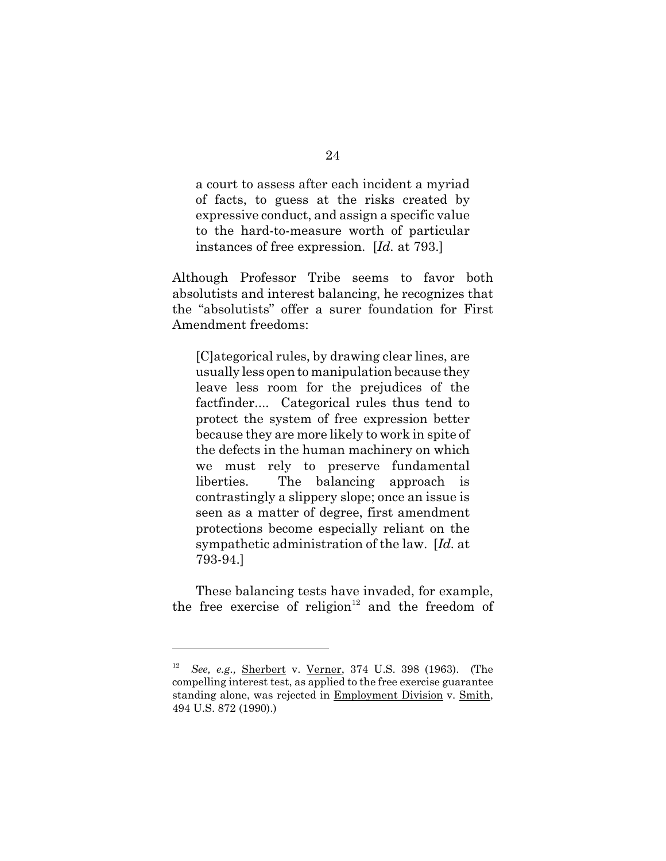a court to assess after each incident a myriad of facts, to guess at the risks created by expressive conduct, and assign a specific value to the hard-to-measure worth of particular instances of free expression. [*Id.* at 793.]

Although Professor Tribe seems to favor both absolutists and interest balancing, he recognizes that the "absolutists" offer a surer foundation for First Amendment freedoms:

[C]ategorical rules, by drawing clear lines, are usually less open to manipulation because they leave less room for the prejudices of the factfinder.... Categorical rules thus tend to protect the system of free expression better because they are more likely to work in spite of the defects in the human machinery on which we must rely to preserve fundamental liberties. The balancing approach is contrastingly a slippery slope; once an issue is seen as a matter of degree, first amendment protections become especially reliant on the sympathetic administration of the law. [*Id.* at 793-94.]

These balancing tests have invaded, for example, the free exercise of religion $12$  and the freedom of

<sup>12</sup> *See, e.g.,* Sherbert v. Verner, 374 U.S. 398 (1963). (The compelling interest test, as applied to the free exercise guarantee standing alone, was rejected in **Employment Division** v. Smith, 494 U.S. 872 (1990).)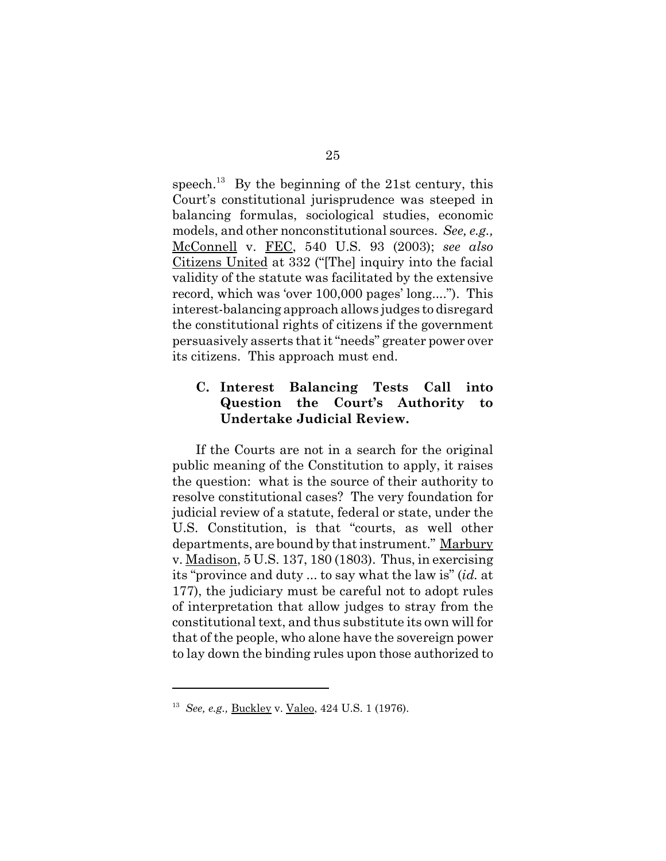speech.<sup>13</sup> By the beginning of the 21st century, this Court's constitutional jurisprudence was steeped in balancing formulas, sociological studies, economic models, and other nonconstitutional sources. *See, e.g.,* McConnell v. FEC, 540 U.S. 93 (2003); *see also* Citizens United at 332 ("[The] inquiry into the facial validity of the statute was facilitated by the extensive record, which was 'over 100,000 pages' long...."). This interest-balancing approach allows judges to disregard the constitutional rights of citizens if the government persuasively asserts that it "needs" greater power over its citizens. This approach must end.

## **C. Interest Balancing Tests Call into Question the Court's Authority to Undertake Judicial Review.**

If the Courts are not in a search for the original public meaning of the Constitution to apply, it raises the question: what is the source of their authority to resolve constitutional cases? The very foundation for judicial review of a statute, federal or state, under the U.S. Constitution, is that "courts, as well other departments, are bound by that instrument." Marbury v. Madison, 5 U.S. 137, 180 (1803). Thus, in exercising its "province and duty ... to say what the law is" (*id.* at 177), the judiciary must be careful not to adopt rules of interpretation that allow judges to stray from the constitutional text, and thus substitute its own will for that of the people, who alone have the sovereign power to lay down the binding rules upon those authorized to

<sup>13</sup> *See, e.g.,* Buckley v. Valeo, 424 U.S. 1 (1976).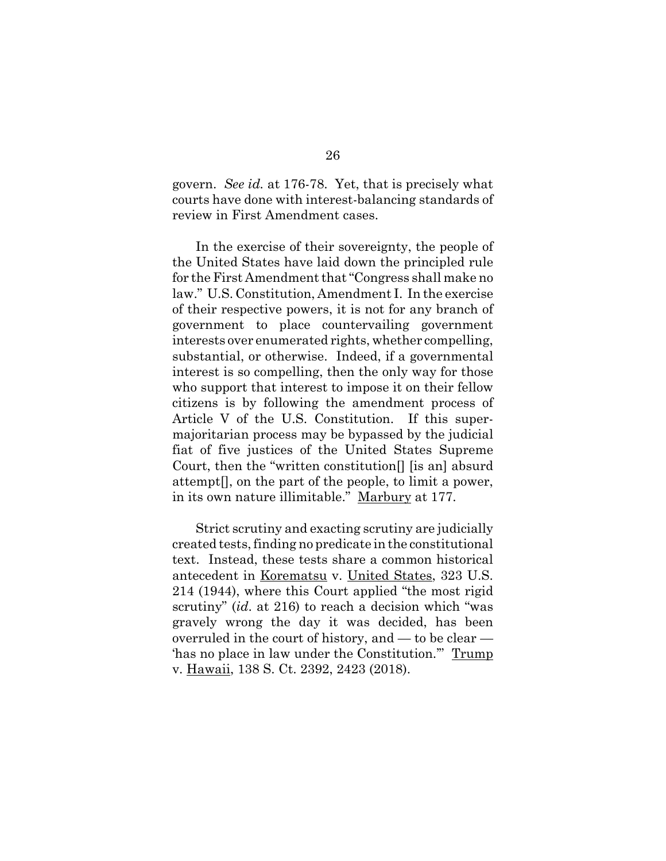govern. *See id.* at 176-78. Yet, that is precisely what courts have done with interest-balancing standards of review in First Amendment cases.

In the exercise of their sovereignty, the people of the United States have laid down the principled rule for the First Amendment that "Congress shall make no law." U.S. Constitution, Amendment I. In the exercise of their respective powers, it is not for any branch of government to place countervailing government interests over enumerated rights, whether compelling, substantial, or otherwise. Indeed, if a governmental interest is so compelling, then the only way for those who support that interest to impose it on their fellow citizens is by following the amendment process of Article V of the U.S. Constitution. If this supermajoritarian process may be bypassed by the judicial fiat of five justices of the United States Supreme Court, then the "written constitution[] [is an] absurd attempt[], on the part of the people, to limit a power, in its own nature illimitable." Marbury at 177.

Strict scrutiny and exacting scrutiny are judicially created tests, finding no predicate in the constitutional text. Instead, these tests share a common historical antecedent in Korematsu v. United States, 323 U.S. 214 (1944), where this Court applied "the most rigid scrutiny" (*id*. at 216) to reach a decision which "was gravely wrong the day it was decided, has been overruled in the court of history, and — to be clear — 'has no place in law under the Constitution.'" Trump v. Hawaii, 138 S. Ct. 2392, 2423 (2018).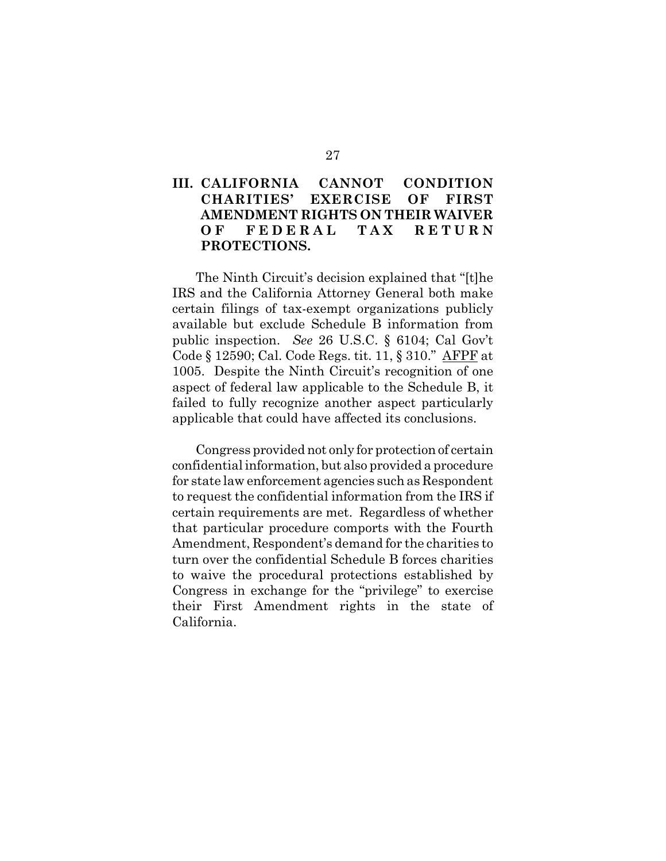# **III. CALIFORNIA CANNOT CONDITION CHARITIES' EXERCISE OF FIRST AMENDMENT RIGHTS ON THEIR WAIVER OF FEDERAL TAX RETURN PROTECTIONS.**

The Ninth Circuit's decision explained that "[t]he IRS and the California Attorney General both make certain filings of tax-exempt organizations publicly available but exclude Schedule B information from public inspection. *See* 26 U.S.C. § 6104; Cal Gov't Code § 12590; Cal. Code Regs. tit. 11, § 310." AFPF at 1005. Despite the Ninth Circuit's recognition of one aspect of federal law applicable to the Schedule B, it failed to fully recognize another aspect particularly applicable that could have affected its conclusions.

Congress provided not only for protection of certain confidential information, but also provided a procedure for state law enforcement agencies such as Respondent to request the confidential information from the IRS if certain requirements are met. Regardless of whether that particular procedure comports with the Fourth Amendment, Respondent's demand for the charities to turn over the confidential Schedule B forces charities to waive the procedural protections established by Congress in exchange for the "privilege" to exercise their First Amendment rights in the state of California.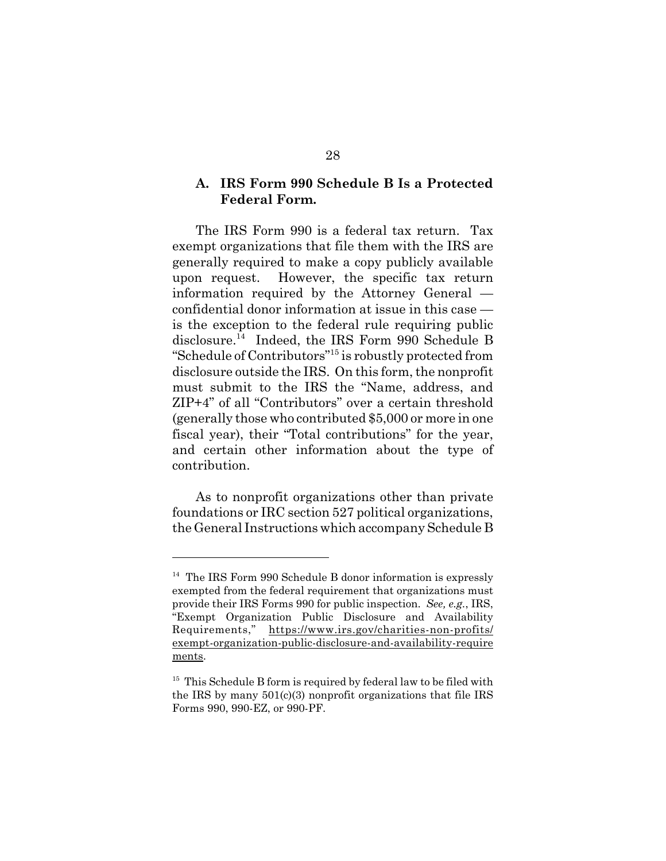#### **A. IRS Form 990 Schedule B Is a Protected Federal Form.**

The IRS Form 990 is a federal tax return. Tax exempt organizations that file them with the IRS are generally required to make a copy publicly available upon request. However, the specific tax return information required by the Attorney General confidential donor information at issue in this case is the exception to the federal rule requiring public disclosure.14 Indeed, the IRS Form 990 Schedule B "Schedule of Contributors"15 is robustly protected from disclosure outside the IRS. On this form, the nonprofit must submit to the IRS the "Name, address, and ZIP+4" of all "Contributors" over a certain threshold (generally those who contributed \$5,000 or more in one fiscal year), their "Total contributions" for the year, and certain other information about the type of contribution.

As to nonprofit organizations other than private foundations or IRC section 527 political organizations, the General Instructions which accompany Schedule B

 $14$  The IRS Form 990 Schedule B donor information is expressly exempted from the federal requirement that organizations must provide their IRS Forms 990 for public inspection. *See, e.g.*, IRS, "Exempt Organization Public Disclosure and Availability Requirements," https://www.irs.gov/charities-non-profits/ exempt-organization-public-disclosure-and-availability-require ments.

 $15$  This Schedule B form is required by federal law to be filed with the IRS by many 501(c)(3) nonprofit organizations that file IRS Forms 990, 990-EZ, or 990-PF.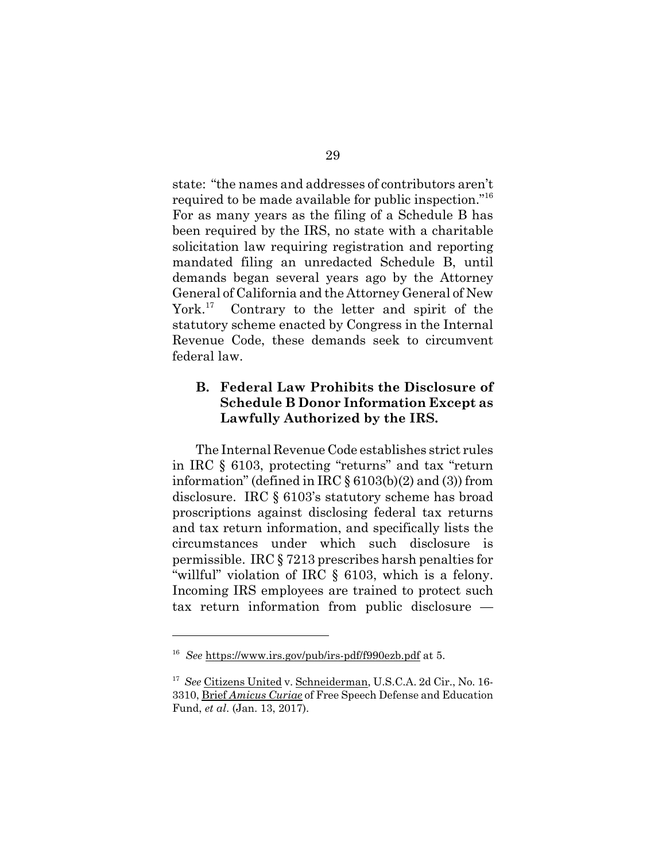state: "the names and addresses of contributors aren't required to be made available for public inspection."16 For as many years as the filing of a Schedule B has been required by the IRS, no state with a charitable solicitation law requiring registration and reporting mandated filing an unredacted Schedule B, until demands began several years ago by the Attorney General of California and the Attorney General of New York.<sup>17</sup> Contrary to the letter and spirit of the statutory scheme enacted by Congress in the Internal Revenue Code, these demands seek to circumvent federal law.

# **B. Federal Law Prohibits the Disclosure of Schedule B Donor Information Except as Lawfully Authorized by the IRS.**

The Internal Revenue Code establishes strict rules in IRC § 6103, protecting "returns" and tax "return information" (defined in IRC  $\S 6103(b)(2)$  and (3)) from disclosure. IRC § 6103's statutory scheme has broad proscriptions against disclosing federal tax returns and tax return information, and specifically lists the circumstances under which such disclosure is permissible. IRC § 7213 prescribes harsh penalties for "willful" violation of IRC § 6103, which is a felony. Incoming IRS employees are trained to protect such tax return information from public disclosure —

<sup>16</sup> *See* https://www.irs.gov/pub/irs-pdf/f990ezb.pdf at 5.

<sup>17</sup> *See* Citizens United v. Schneiderman, U.S.C.A. 2d Cir., No. 16- 3310, Brief *Amicus Curiae* of Free Speech Defense and Education Fund, *et al*. (Jan. 13, 2017).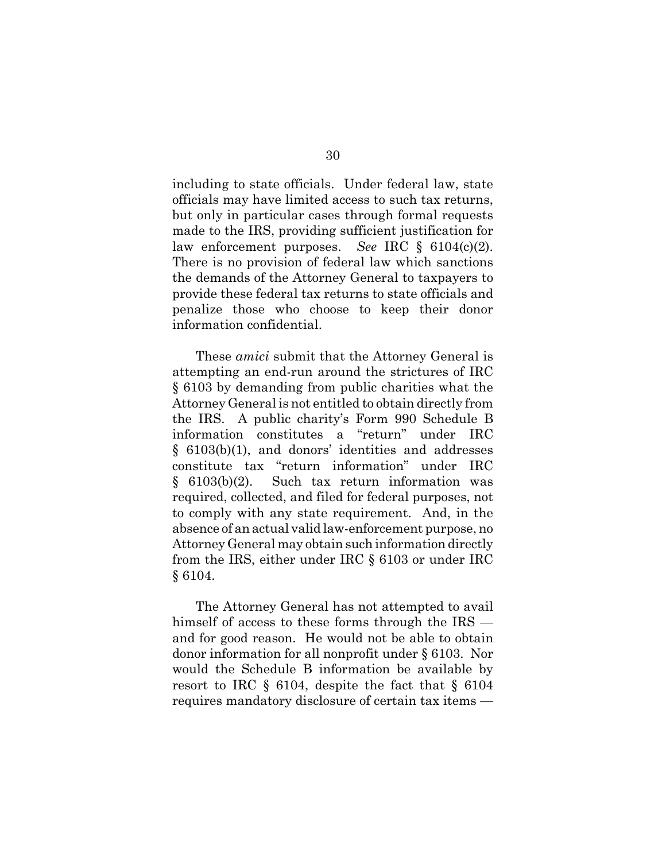including to state officials. Under federal law, state officials may have limited access to such tax returns, but only in particular cases through formal requests made to the IRS, providing sufficient justification for law enforcement purposes. *See* IRC § 6104(c)(2). There is no provision of federal law which sanctions the demands of the Attorney General to taxpayers to provide these federal tax returns to state officials and penalize those who choose to keep their donor information confidential.

These *amici* submit that the Attorney General is attempting an end-run around the strictures of IRC § 6103 by demanding from public charities what the Attorney General is not entitled to obtain directly from the IRS. A public charity's Form 990 Schedule B information constitutes a "return" under IRC § 6103(b)(1), and donors' identities and addresses constitute tax "return information" under IRC § 6103(b)(2). Such tax return information was required, collected, and filed for federal purposes, not to comply with any state requirement. And, in the absence of an actual valid law-enforcement purpose, no Attorney General may obtain such information directly from the IRS, either under IRC § 6103 or under IRC § 6104.

The Attorney General has not attempted to avail himself of access to these forms through the IRS and for good reason. He would not be able to obtain donor information for all nonprofit under § 6103. Nor would the Schedule B information be available by resort to IRC  $\S$  6104, despite the fact that  $\S$  6104 requires mandatory disclosure of certain tax items —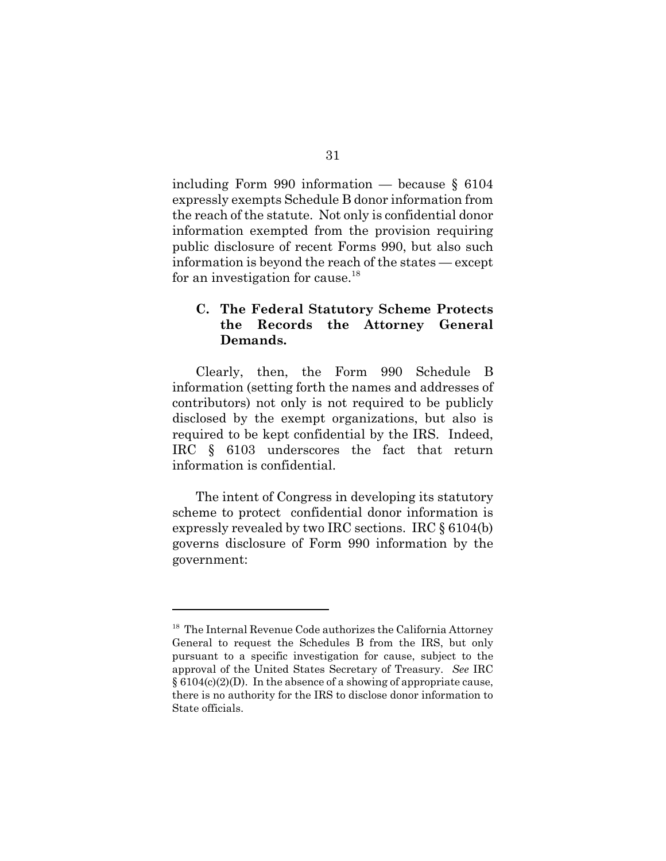including Form 990 information — because § 6104 expressly exempts Schedule B donor information from the reach of the statute. Not only is confidential donor information exempted from the provision requiring public disclosure of recent Forms 990, but also such information is beyond the reach of the states — except for an investigation for cause.<sup>18</sup>

# **C. The Federal Statutory Scheme Protects the Records the Attorney General Demands.**

Clearly, then, the Form 990 Schedule B information (setting forth the names and addresses of contributors) not only is not required to be publicly disclosed by the exempt organizations, but also is required to be kept confidential by the IRS. Indeed, IRC § 6103 underscores the fact that return information is confidential.

The intent of Congress in developing its statutory scheme to protect confidential donor information is expressly revealed by two IRC sections. IRC § 6104(b) governs disclosure of Form 990 information by the government:

<sup>&</sup>lt;sup>18</sup> The Internal Revenue Code authorizes the California Attorney General to request the Schedules B from the IRS, but only pursuant to a specific investigation for cause, subject to the approval of the United States Secretary of Treasury. *See* IRC  $§ 6104(c)(2)(D)$ . In the absence of a showing of appropriate cause, there is no authority for the IRS to disclose donor information to State officials.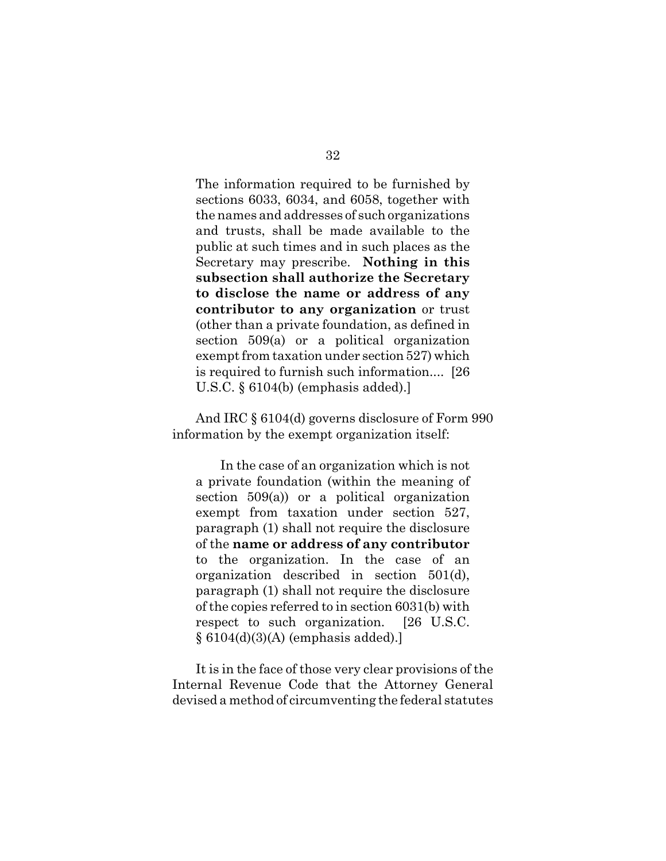The information required to be furnished by sections 6033, 6034, and 6058, together with the names and addresses of such organizations and trusts, shall be made available to the public at such times and in such places as the Secretary may prescribe. **Nothing in this subsection shall authorize the Secretary to disclose the name or address of any contributor to any organization** or trust (other than a private foundation, as defined in section 509(a) or a political organization exempt from taxation under section 527) which is required to furnish such information.... [26 U.S.C. § 6104(b) (emphasis added).]

And IRC § 6104(d) governs disclosure of Form 990 information by the exempt organization itself:

In the case of an organization which is not a private foundation (within the meaning of section 509(a)) or a political organization exempt from taxation under section 527, paragraph (1) shall not require the disclosure of the **name or address of any contributor** to the organization. In the case of an organization described in section 501(d), paragraph (1) shall not require the disclosure of the copies referred to in section 6031(b) with respect to such organization. [26 U.S.C.  $§ 6104(d)(3)(A)$  (emphasis added).

It is in the face of those very clear provisions of the Internal Revenue Code that the Attorney General devised a method of circumventing the federal statutes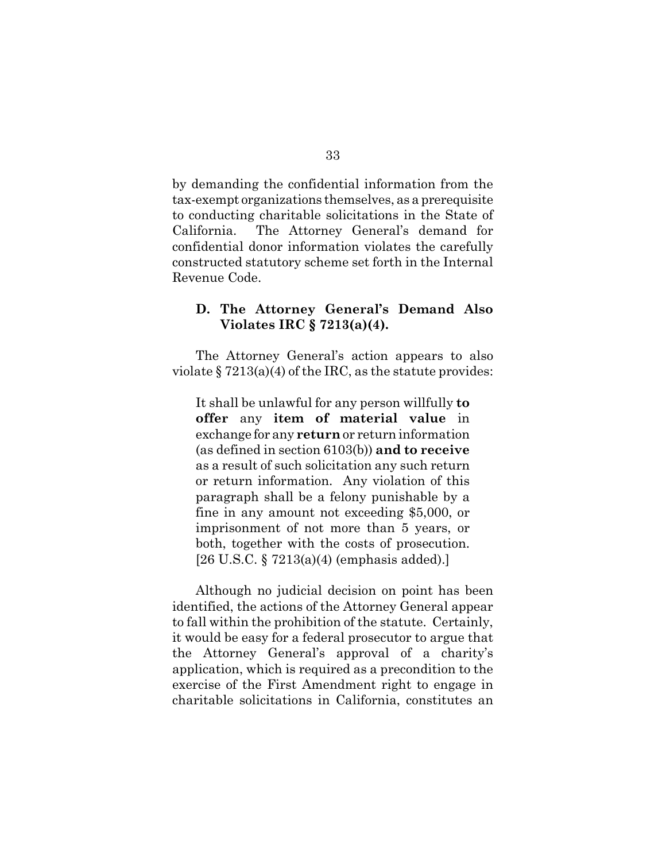by demanding the confidential information from the tax-exempt organizations themselves, as a prerequisite to conducting charitable solicitations in the State of California. The Attorney General's demand for confidential donor information violates the carefully constructed statutory scheme set forth in the Internal Revenue Code.

#### **D. The Attorney General's Demand Also Violates IRC § 7213(a)(4).**

The Attorney General's action appears to also violate  $\S 7213(a)(4)$  of the IRC, as the statute provides:

It shall be unlawful for any person willfully **to offer** any **item of material value** in exchange for any **return** or return information (as defined in section 6103(b)) **and to receive** as a result of such solicitation any such return or return information. Any violation of this paragraph shall be a felony punishable by a fine in any amount not exceeding \$5,000, or imprisonment of not more than 5 years, or both, together with the costs of prosecution. [26 U.S.C. § 7213(a)(4) (emphasis added).]

Although no judicial decision on point has been identified, the actions of the Attorney General appear to fall within the prohibition of the statute. Certainly, it would be easy for a federal prosecutor to argue that the Attorney General's approval of a charity's application, which is required as a precondition to the exercise of the First Amendment right to engage in charitable solicitations in California, constitutes an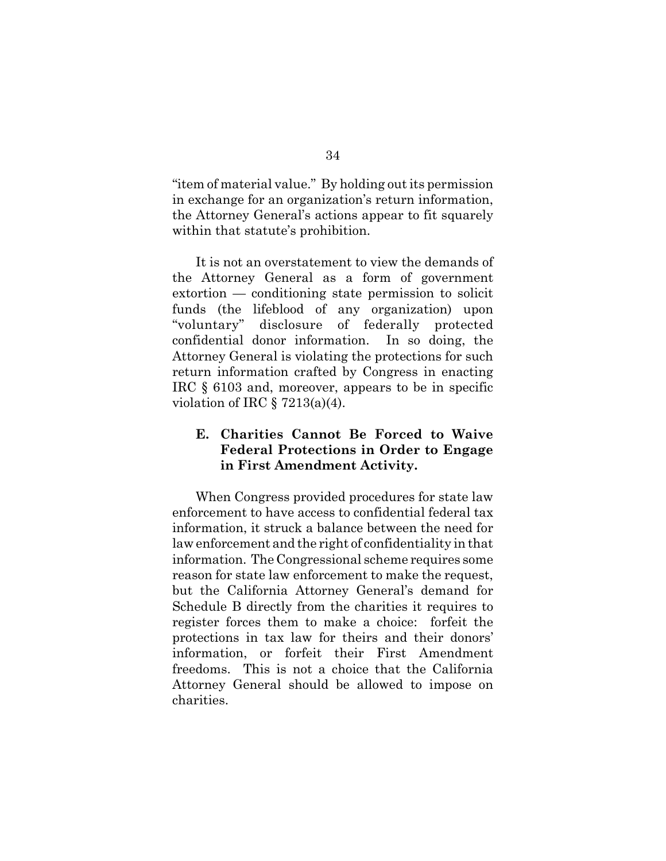"item of material value." By holding out its permission in exchange for an organization's return information, the Attorney General's actions appear to fit squarely within that statute's prohibition.

It is not an overstatement to view the demands of the Attorney General as a form of government extortion — conditioning state permission to solicit funds (the lifeblood of any organization) upon "voluntary" disclosure of federally protected confidential donor information. In so doing, the Attorney General is violating the protections for such return information crafted by Congress in enacting IRC § 6103 and, moreover, appears to be in specific violation of IRC  $\S$  7213(a)(4).

## **E. Charities Cannot Be Forced to Waive Federal Protections in Order to Engage in First Amendment Activity.**

When Congress provided procedures for state law enforcement to have access to confidential federal tax information, it struck a balance between the need for law enforcement and the right of confidentiality in that information. The Congressional scheme requires some reason for state law enforcement to make the request, but the California Attorney General's demand for Schedule B directly from the charities it requires to register forces them to make a choice: forfeit the protections in tax law for theirs and their donors' information, or forfeit their First Amendment freedoms. This is not a choice that the California Attorney General should be allowed to impose on charities.